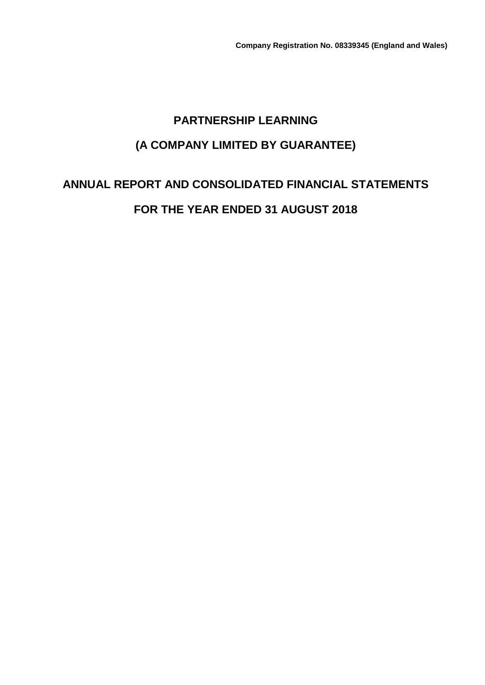# **PARTNERSHIP LEARNING (A COMPANY LIMITED BY GUARANTEE)**

# **ANNUAL REPORT AND CONSOLIDATED FINANCIAL STATEMENTS FOR THE YEAR ENDED 31 AUGUST 2018**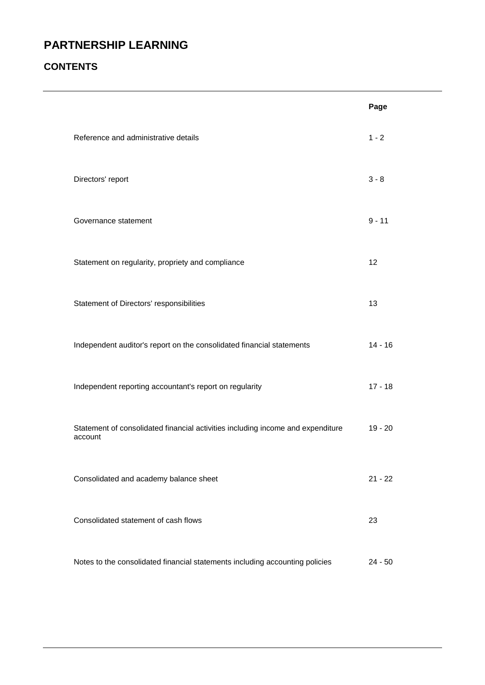# **CONTENTS**

|                                                                                            | Page      |
|--------------------------------------------------------------------------------------------|-----------|
| Reference and administrative details                                                       | $1 - 2$   |
| Directors' report                                                                          | $3 - 8$   |
| Governance statement                                                                       | $9 - 11$  |
| Statement on regularity, propriety and compliance                                          | 12        |
| Statement of Directors' responsibilities                                                   | 13        |
| Independent auditor's report on the consolidated financial statements                      | $14 - 16$ |
| Independent reporting accountant's report on regularity                                    | $17 - 18$ |
| Statement of consolidated financial activities including income and expenditure<br>account | $19 - 20$ |
| Consolidated and academy balance sheet                                                     | $21 - 22$ |
| Consolidated statement of cash flows                                                       | 23        |
| Notes to the consolidated financial statements including accounting policies               | $24 - 50$ |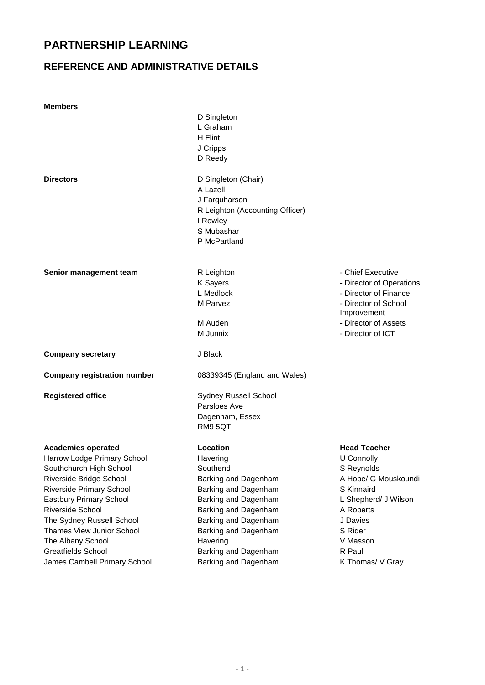# **REFERENCE AND ADMINISTRATIVE DETAILS**

| <b>Members</b>                                            |                                              |                                     |
|-----------------------------------------------------------|----------------------------------------------|-------------------------------------|
|                                                           | D Singleton<br>L Graham                      |                                     |
|                                                           | H Flint                                      |                                     |
|                                                           | J Cripps                                     |                                     |
|                                                           | D Reedy                                      |                                     |
| <b>Directors</b>                                          | D Singleton (Chair)                          |                                     |
|                                                           | A Lazell                                     |                                     |
|                                                           | J Farquharson                                |                                     |
|                                                           | R Leighton (Accounting Officer)<br>I Rowley  |                                     |
|                                                           | S Mubashar                                   |                                     |
|                                                           | P McPartland                                 |                                     |
|                                                           |                                              |                                     |
| Senior management team                                    | R Leighton                                   | - Chief Executive                   |
|                                                           | <b>K</b> Sayers                              | - Director of Operations            |
|                                                           | L Medlock                                    | - Director of Finance               |
|                                                           | M Parvez                                     | - Director of School<br>Improvement |
|                                                           | M Auden                                      | - Director of Assets                |
|                                                           | M Junnix                                     | - Director of ICT                   |
| <b>Company secretary</b>                                  | J Black                                      |                                     |
| <b>Company registration number</b>                        | 08339345 (England and Wales)                 |                                     |
| <b>Registered office</b>                                  | Sydney Russell School                        |                                     |
|                                                           | Parsloes Ave                                 |                                     |
|                                                           | Dagenham, Essex                              |                                     |
|                                                           | RM95QT                                       |                                     |
| <b>Academies operated</b>                                 | Location                                     | <b>Head Teacher</b>                 |
| Harrow Lodge Primary School                               | Havering                                     | U Connolly                          |
| Southchurch High School                                   | Southend                                     | S Reynolds                          |
| Riverside Bridge School<br>Riverside Primary School       | Barking and Dagenham<br>Barking and Dagenham | A Hope/ G Mouskoundi<br>S Kinnaird  |
| Eastbury Primary School                                   | Barking and Dagenham                         | L Shepherd/ J Wilson                |
| Riverside School                                          | Barking and Dagenham                         | A Roberts                           |
| The Sydney Russell School                                 | Barking and Dagenham                         | J Davies                            |
| Thames View Junior School                                 |                                              |                                     |
|                                                           | Barking and Dagenham                         | S Rider                             |
| The Albany School                                         | Havering                                     | V Masson                            |
| <b>Greatfields School</b><br>James Cambell Primary School | Barking and Dagenham<br>Barking and Dagenham | R Paul<br>K Thomas/ V Gray          |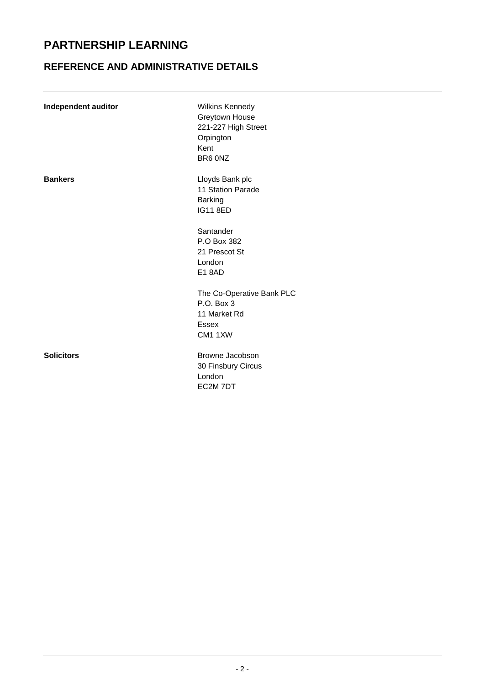# **REFERENCE AND ADMINISTRATIVE DETAILS**

| Independent auditor | Wilkins Kennedy           |
|---------------------|---------------------------|
|                     | Greytown House            |
|                     | 221-227 High Street       |
|                     | Orpington                 |
|                     | Kent                      |
|                     | BR6 ONZ                   |
| <b>Bankers</b>      | Lloyds Bank plc           |
|                     | 11 Station Parade         |
|                     | <b>Barking</b>            |
|                     | <b>IG11 8ED</b>           |
|                     | Santander                 |
|                     | P.O Box 382               |
|                     | 21 Prescot St             |
|                     | London                    |
|                     | <b>E18AD</b>              |
|                     | The Co-Operative Bank PLC |
|                     | P.O. Box 3                |
|                     | 11 Market Rd              |
|                     | <b>Essex</b>              |
|                     | CM1 1XW                   |
| <b>Solicitors</b>   | Browne Jacobson           |
|                     | 30 Finsbury Circus        |
|                     | London                    |
|                     | EC2M7DT                   |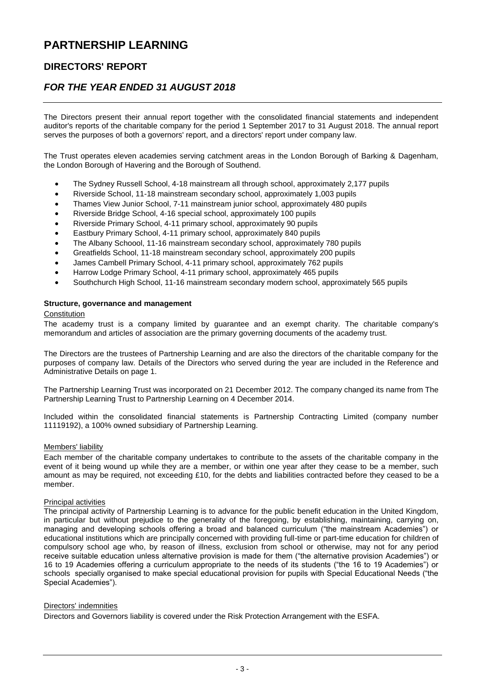## **DIRECTORS' REPORT**

### *FOR THE YEAR ENDED 31 AUGUST 2018*

The Directors present their annual report together with the consolidated financial statements and independent auditor's reports of the charitable company for the period 1 September 2017 to 31 August 2018. The annual report serves the purposes of both a governors' report, and a directors' report under company law.

The Trust operates eleven academies serving catchment areas in the London Borough of Barking & Dagenham, the London Borough of Havering and the Borough of Southend.

- The Sydney Russell School, 4-18 mainstream all through school, approximately 2,177 pupils
- Riverside School, 11-18 mainstream secondary school, approximately 1,003 pupils
- Thames View Junior School, 7-11 mainstream junior school, approximately 480 pupils
- Riverside Bridge School, 4-16 special school, approximately 100 pupils
- Riverside Primary School, 4-11 primary school, approximately 90 pupils
- Eastbury Primary School, 4-11 primary school, approximately 840 pupils
- The Albany Schoool, 11-16 mainstream secondary school, approximately 780 pupils
- Greatfields School, 11-18 mainstream secondary school, approximately 200 pupils
- James Cambell Primary School, 4-11 primary school, approximately 762 pupils
- Harrow Lodge Primary School, 4-11 primary school, approximately 465 pupils
- Southchurch High School, 11-16 mainstream secondary modern school, approximately 565 pupils

#### **Structure, governance and management**

#### **Constitution**

The academy trust is a company limited by guarantee and an exempt charity. The charitable company's memorandum and articles of association are the primary governing documents of the academy trust.

The Directors are the trustees of Partnership Learning and are also the directors of the charitable company for the purposes of company law. Details of the Directors who served during the year are included in the Reference and Administrative Details on page 1.

The Partnership Learning Trust was incorporated on 21 December 2012. The company changed its name from The Partnership Learning Trust to Partnership Learning on 4 December 2014.

Included within the consolidated financial statements is Partnership Contracting Limited (company number 11119192), a 100% owned subsidiary of Partnership Learning.

#### Members' liability

Each member of the charitable company undertakes to contribute to the assets of the charitable company in the event of it being wound up while they are a member, or within one year after they cease to be a member, such amount as may be required, not exceeding £10, for the debts and liabilities contracted before they ceased to be a member.

#### Principal activities

The principal activity of Partnership Learning is to advance for the public benefit education in the United Kingdom, in particular but without prejudice to the generality of the foregoing, by establishing, maintaining, carrying on, managing and developing schools offering a broad and balanced curriculum ("the mainstream Academies") or educational institutions which are principally concerned with providing full-time or part-time education for children of compulsory school age who, by reason of illness, exclusion from school or otherwise, may not for any period receive suitable education unless alternative provision is made for them ("the alternative provision Academies") or 16 to 19 Academies offering a curriculum appropriate to the needs of its students ("the 16 to 19 Academies") or schools specially organised to make special educational provision for pupils with Special Educational Needs ("the Special Academies").

#### Directors' indemnities

Directors and Governors liability is covered under the Risk Protection Arrangement with the ESFA.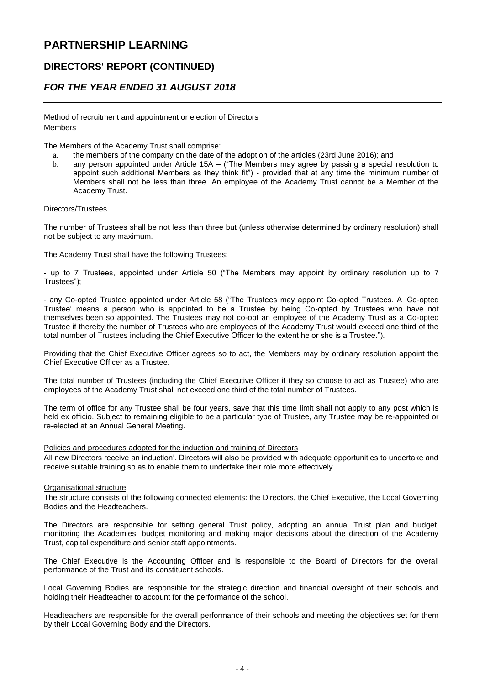# **DIRECTORS' REPORT (CONTINUED)**

### *FOR THE YEAR ENDED 31 AUGUST 2018*

Method of recruitment and appointment or election of Directors Members

The Members of the Academy Trust shall comprise:

- a. the members of the company on the date of the adoption of the articles (23rd June 2016); and
- b. any person appointed under Article 15A ("The Members may agree by passing a special resolution to appoint such additional Members as they think fit") - provided that at any time the minimum number of Members shall not be less than three. An employee of the Academy Trust cannot be a Member of the Academy Trust.

#### Directors/Trustees

The number of Trustees shall be not less than three but (unless otherwise determined by ordinary resolution) shall not be subject to any maximum.

The Academy Trust shall have the following Trustees:

- up to 7 Trustees, appointed under Article 50 ("The Members may appoint by ordinary resolution up to 7 Trustees");

- any Co-opted Trustee appointed under Article 58 ("The Trustees may appoint Co-opted Trustees. A 'Co-opted Trustee' means a person who is appointed to be a Trustee by being Co-opted by Trustees who have not themselves been so appointed. The Trustees may not co-opt an employee of the Academy Trust as a Co-opted Trustee if thereby the number of Trustees who are employees of the Academy Trust would exceed one third of the total number of Trustees including the Chief Executive Officer to the extent he or she is a Trustee.").

Providing that the Chief Executive Officer agrees so to act, the Members may by ordinary resolution appoint the Chief Executive Officer as a Trustee.

The total number of Trustees (including the Chief Executive Officer if they so choose to act as Trustee) who are employees of the Academy Trust shall not exceed one third of the total number of Trustees.

The term of office for any Trustee shall be four years, save that this time limit shall not apply to any post which is held ex officio. Subject to remaining eligible to be a particular type of Trustee, any Trustee may be re-appointed or re-elected at an Annual General Meeting.

Policies and procedures adopted for the induction and training of Directors

All new Directors receive an induction'. Directors will also be provided with adequate opportunities to undertake and receive suitable training so as to enable them to undertake their role more effectively.

#### Organisational structure

The structure consists of the following connected elements: the Directors, the Chief Executive, the Local Governing Bodies and the Headteachers.

The Directors are responsible for setting general Trust policy, adopting an annual Trust plan and budget, monitoring the Academies, budget monitoring and making major decisions about the direction of the Academy Trust, capital expenditure and senior staff appointments.

The Chief Executive is the Accounting Officer and is responsible to the Board of Directors for the overall performance of the Trust and its constituent schools.

Local Governing Bodies are responsible for the strategic direction and financial oversight of their schools and holding their Headteacher to account for the performance of the school.

Headteachers are responsible for the overall performance of their schools and meeting the objectives set for them by their Local Governing Body and the Directors.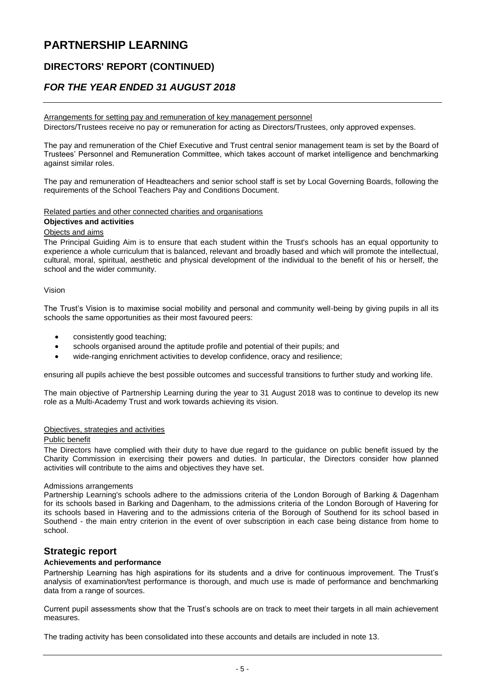## **DIRECTORS' REPORT (CONTINUED)**

### *FOR THE YEAR ENDED 31 AUGUST 2018*

#### Arrangements for setting pay and remuneration of key management personnel

Directors/Trustees receive no pay or remuneration for acting as Directors/Trustees, only approved expenses.

The pay and remuneration of the Chief Executive and Trust central senior management team is set by the Board of Trustees' Personnel and Remuneration Committee, which takes account of market intelligence and benchmarking against similar roles.

The pay and remuneration of Headteachers and senior school staff is set by Local Governing Boards, following the requirements of the School Teachers Pay and Conditions Document.

#### Related parties and other connected charities and organisations

#### **Objectives and activities**

#### Objects and aims

The Principal Guiding Aim is to ensure that each student within the Trust's schools has an equal opportunity to experience a whole curriculum that is balanced, relevant and broadly based and which will promote the intellectual, cultural, moral, spiritual, aesthetic and physical development of the individual to the benefit of his or herself, the school and the wider community.

#### Vision

The Trust's Vision is to maximise social mobility and personal and community well-being by giving pupils in all its schools the same opportunities as their most favoured peers:

- consistently good teaching;
- schools organised around the aptitude profile and potential of their pupils; and
- wide-ranging enrichment activities to develop confidence, oracy and resilience;

ensuring all pupils achieve the best possible outcomes and successful transitions to further study and working life.

The main objective of Partnership Learning during the year to 31 August 2018 was to continue to develop its new role as a Multi-Academy Trust and work towards achieving its vision.

#### Objectives, strategies and activities

#### Public benefit

The Directors have complied with their duty to have due regard to the guidance on public benefit issued by the Charity Commission in exercising their powers and duties. In particular, the Directors consider how planned activities will contribute to the aims and objectives they have set.

#### Admissions arrangements

Partnership Learning's schools adhere to the admissions criteria of the London Borough of Barking & Dagenham for its schools based in Barking and Dagenham, to the admissions criteria of the London Borough of Havering for its schools based in Havering and to the admissions criteria of the Borough of Southend for its school based in Southend - the main entry criterion in the event of over subscription in each case being distance from home to school.

#### **Strategic report**

#### **Achievements and performance**

Partnership Learning has high aspirations for its students and a drive for continuous improvement. The Trust's analysis of examination/test performance is thorough, and much use is made of performance and benchmarking data from a range of sources.

Current pupil assessments show that the Trust's schools are on track to meet their targets in all main achievement measures.

The trading activity has been consolidated into these accounts and details are included in note 13.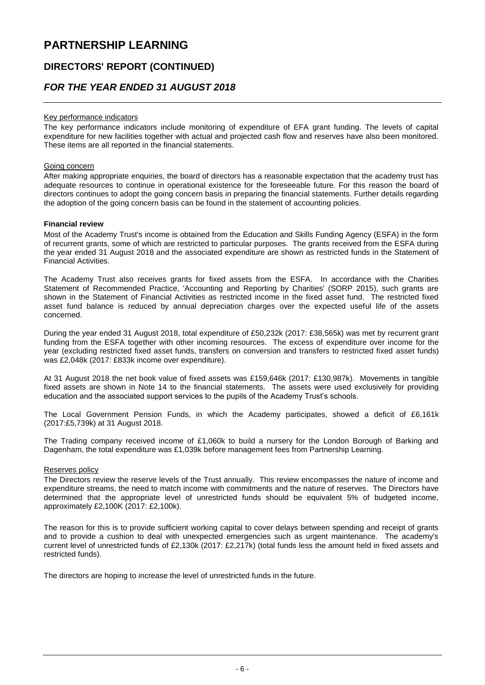# **DIRECTORS' REPORT (CONTINUED)**

### *FOR THE YEAR ENDED 31 AUGUST 2018*

#### Key performance indicators

The key performance indicators include monitoring of expenditure of EFA grant funding. The levels of capital expenditure for new facilities together with actual and projected cash flow and reserves have also been monitored. These items are all reported in the financial statements.

#### Going concern

After making appropriate enquiries, the board of directors has a reasonable expectation that the academy trust has adequate resources to continue in operational existence for the foreseeable future. For this reason the board of directors continues to adopt the going concern basis in preparing the financial statements. Further details regarding the adoption of the going concern basis can be found in the statement of accounting policies.

#### **Financial review**

Most of the Academy Trust's income is obtained from the Education and Skills Funding Agency (ESFA) in the form of recurrent grants, some of which are restricted to particular purposes. The grants received from the ESFA during the year ended 31 August 2018 and the associated expenditure are shown as restricted funds in the Statement of Financial Activities.

The Academy Trust also receives grants for fixed assets from the ESFA. In accordance with the Charities Statement of Recommended Practice, 'Accounting and Reporting by Charities' (SORP 2015), such grants are shown in the Statement of Financial Activities as restricted income in the fixed asset fund. The restricted fixed asset fund balance is reduced by annual depreciation charges over the expected useful life of the assets concerned.

During the year ended 31 August 2018, total expenditure of £50,232k (2017: £38,565k) was met by recurrent grant funding from the ESFA together with other incoming resources. The excess of expenditure over income for the year (excluding restricted fixed asset funds, transfers on conversion and transfers to restricted fixed asset funds) was £2,048k (2017: £833k income over expenditure).

At 31 August 2018 the net book value of fixed assets was £159,646k (2017: £130,987k). Movements in tangible fixed assets are shown in Note 14 to the financial statements. The assets were used exclusively for providing education and the associated support services to the pupils of the Academy Trust's schools.

The Local Government Pension Funds, in which the Academy participates, showed a deficit of £6,161k (2017:£5,739k) at 31 August 2018.

The Trading company received income of £1,060k to build a nursery for the London Borough of Barking and Dagenham, the total expenditure was £1,039k before management fees from Partnership Learning.

#### Reserves policy

The Directors review the reserve levels of the Trust annually. This review encompasses the nature of income and expenditure streams, the need to match income with commitments and the nature of reserves. The Directors have determined that the appropriate level of unrestricted funds should be equivalent 5% of budgeted income, approximately £2,100K (2017: £2,100k).

The reason for this is to provide sufficient working capital to cover delays between spending and receipt of grants and to provide a cushion to deal with unexpected emergencies such as urgent maintenance. The academy's current level of unrestricted funds of £2,130k (2017: £2,217k) (total funds less the amount held in fixed assets and restricted funds).

The directors are hoping to increase the level of unrestricted funds in the future.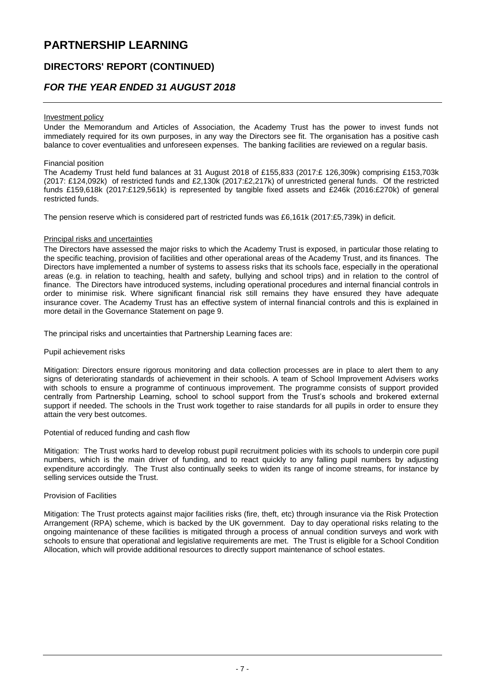## **DIRECTORS' REPORT (CONTINUED)**

### *FOR THE YEAR ENDED 31 AUGUST 2018*

#### Investment policy

Under the Memorandum and Articles of Association, the Academy Trust has the power to invest funds not immediately required for its own purposes, in any way the Directors see fit. The organisation has a positive cash balance to cover eventualities and unforeseen expenses. The banking facilities are reviewed on a regular basis.

#### Financial position

The Academy Trust held fund balances at 31 August 2018 of £155,833 (2017:£ 126,309k) comprising £153,703k (2017: £124,092k) of restricted funds and £2,130k (2017:£2,217k) of unrestricted general funds. Of the restricted funds £159,618k (2017:£129,561k) is represented by tangible fixed assets and £246k (2016:£270k) of general restricted funds.

The pension reserve which is considered part of restricted funds was £6,161k (2017:£5,739k) in deficit.

#### Principal risks and uncertainties

The Directors have assessed the major risks to which the Academy Trust is exposed, in particular those relating to the specific teaching, provision of facilities and other operational areas of the Academy Trust, and its finances. The Directors have implemented a number of systems to assess risks that its schools face, especially in the operational areas (e.g. in relation to teaching, health and safety, bullying and school trips) and in relation to the control of finance. The Directors have introduced systems, including operational procedures and internal financial controls in order to minimise risk. Where significant financial risk still remains they have ensured they have adequate insurance cover. The Academy Trust has an effective system of internal financial controls and this is explained in more detail in the Governance Statement on page 9.

The principal risks and uncertainties that Partnership Learning faces are:

#### Pupil achievement risks

Mitigation: Directors ensure rigorous monitoring and data collection processes are in place to alert them to any signs of deteriorating standards of achievement in their schools. A team of School Improvement Advisers works with schools to ensure a programme of continuous improvement. The programme consists of support provided centrally from Partnership Learning, school to school support from the Trust's schools and brokered external support if needed. The schools in the Trust work together to raise standards for all pupils in order to ensure they attain the very best outcomes.

#### Potential of reduced funding and cash flow

Mitigation: The Trust works hard to develop robust pupil recruitment policies with its schools to underpin core pupil numbers, which is the main driver of funding, and to react quickly to any falling pupil numbers by adjusting expenditure accordingly. The Trust also continually seeks to widen its range of income streams, for instance by selling services outside the Trust.

#### Provision of Facilities

Mitigation: The Trust protects against major facilities risks (fire, theft, etc) through insurance via the Risk Protection Arrangement (RPA) scheme, which is backed by the UK government. Day to day operational risks relating to the ongoing maintenance of these facilities is mitigated through a process of annual condition surveys and work with schools to ensure that operational and legislative requirements are met. The Trust is eligible for a School Condition Allocation, which will provide additional resources to directly support maintenance of school estates.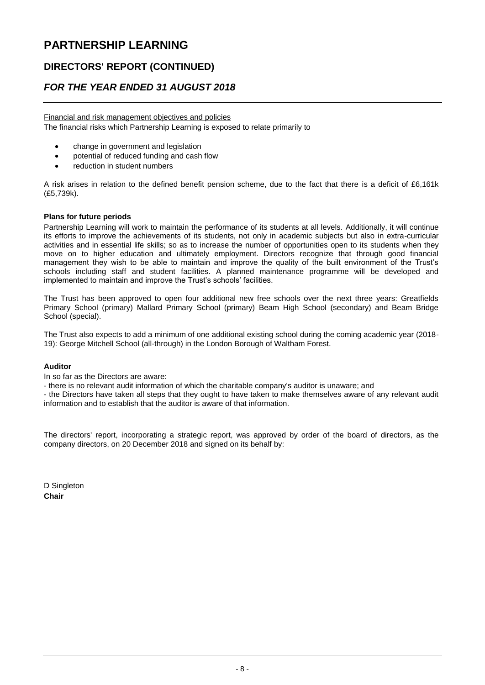# **DIRECTORS' REPORT (CONTINUED)**

### *FOR THE YEAR ENDED 31 AUGUST 2018*

Financial and risk management objectives and policies

The financial risks which Partnership Learning is exposed to relate primarily to

- change in government and legislation
- potential of reduced funding and cash flow
- reduction in student numbers

A risk arises in relation to the defined benefit pension scheme, due to the fact that there is a deficit of £6,161k (£5,739k).

#### **Plans for future periods**

Partnership Learning will work to maintain the performance of its students at all levels. Additionally, it will continue its efforts to improve the achievements of its students, not only in academic subjects but also in extra-curricular activities and in essential life skills; so as to increase the number of opportunities open to its students when they move on to higher education and ultimately employment. Directors recognize that through good financial management they wish to be able to maintain and improve the quality of the built environment of the Trust's schools including staff and student facilities. A planned maintenance programme will be developed and implemented to maintain and improve the Trust's schools' facilities.

The Trust has been approved to open four additional new free schools over the next three years: Greatfields Primary School (primary) Mallard Primary School (primary) Beam High School (secondary) and Beam Bridge School (special).

The Trust also expects to add a minimum of one additional existing school during the coming academic year (2018- 19): George Mitchell School (all-through) in the London Borough of Waltham Forest.

#### **Auditor**

In so far as the Directors are aware:

- there is no relevant audit information of which the charitable company's auditor is unaware; and

- the Directors have taken all steps that they ought to have taken to make themselves aware of any relevant audit information and to establish that the auditor is aware of that information.

The directors' report, incorporating a strategic report, was approved by order of the board of directors, as the company directors, on 20 December 2018 and signed on its behalf by:

D Singleton **Chair**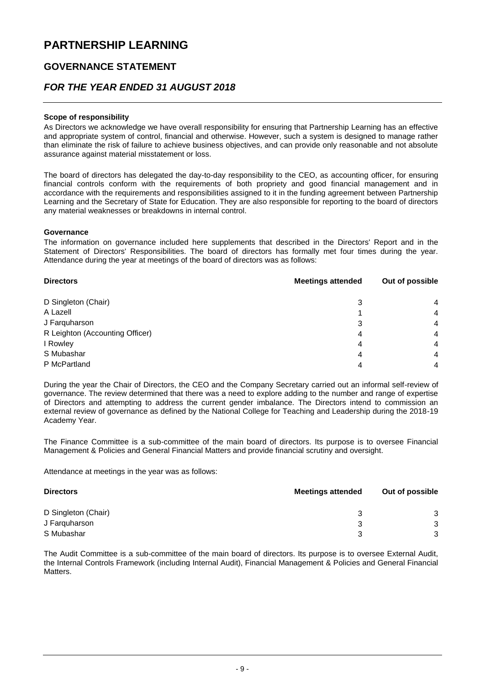### **GOVERNANCE STATEMENT**

### *FOR THE YEAR ENDED 31 AUGUST 2018*

#### **Scope of responsibility**

As Directors we acknowledge we have overall responsibility for ensuring that Partnership Learning has an effective and appropriate system of control, financial and otherwise. However, such a system is designed to manage rather than eliminate the risk of failure to achieve business objectives, and can provide only reasonable and not absolute assurance against material misstatement or loss.

The board of directors has delegated the day-to-day responsibility to the CEO, as accounting officer, for ensuring financial controls conform with the requirements of both propriety and good financial management and in accordance with the requirements and responsibilities assigned to it in the funding agreement between Partnership Learning and the Secretary of State for Education. They are also responsible for reporting to the board of directors any material weaknesses or breakdowns in internal control.

#### **Governance**

The information on governance included here supplements that described in the Directors' Report and in the Statement of Directors' Responsibilities. The board of directors has formally met four times during the year. Attendance during the year at meetings of the board of directors was as follows:

| <b>Directors</b>                | <b>Meetings attended</b> | Out of possible |  |
|---------------------------------|--------------------------|-----------------|--|
| D Singleton (Chair)             | 3                        | 4               |  |
| A Lazell                        |                          | $\overline{4}$  |  |
| J Farquharson                   | 3                        | $\overline{4}$  |  |
| R Leighton (Accounting Officer) | 4                        | $\overline{4}$  |  |
| I Rowley                        | 4                        | $\overline{4}$  |  |
| S Mubashar                      | 4                        | $\overline{4}$  |  |
| P McPartland                    | 4                        | 4               |  |

During the year the Chair of Directors, the CEO and the Company Secretary carried out an informal self-review of governance. The review determined that there was a need to explore adding to the number and range of expertise of Directors and attempting to address the current gender imbalance. The Directors intend to commission an external review of governance as defined by the National College for Teaching and Leadership during the 2018-19 Academy Year.

The Finance Committee is a sub-committee of the main board of directors. Its purpose is to oversee Financial Management & Policies and General Financial Matters and provide financial scrutiny and oversight.

Attendance at meetings in the year was as follows:

| <b>Directors</b>    | <b>Meetings attended</b> | Out of possible |  |
|---------------------|--------------------------|-----------------|--|
| D Singleton (Chair) | 3                        | 3               |  |
| J Farquharson       | 3                        | 3               |  |
| S Mubashar          |                          | 3               |  |

The Audit Committee is a sub-committee of the main board of directors. Its purpose is to oversee External Audit, the Internal Controls Framework (including Internal Audit), Financial Management & Policies and General Financial Matters.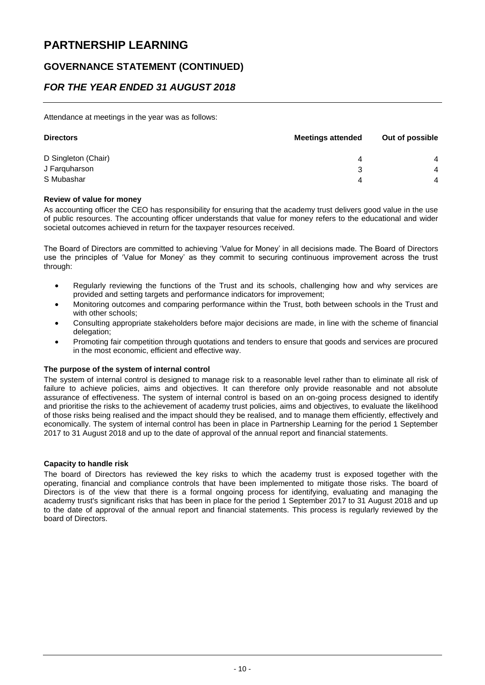### **GOVERNANCE STATEMENT (CONTINUED)**

### *FOR THE YEAR ENDED 31 AUGUST 2018*

Attendance at meetings in the year was as follows:

| <b>Directors</b>    | <b>Meetings attended</b> | Out of possible |
|---------------------|--------------------------|-----------------|
| D Singleton (Chair) | 4                        | 4               |
| J Farquharson       | 3                        | 4               |
| S Mubashar          | Δ                        | 4               |

#### **Review of value for money**

As accounting officer the CEO has responsibility for ensuring that the academy trust delivers good value in the use of public resources. The accounting officer understands that value for money refers to the educational and wider societal outcomes achieved in return for the taxpayer resources received.

The Board of Directors are committed to achieving ʻValue for Money' in all decisions made. The Board of Directors use the principles of ʻValue for Money' as they commit to securing continuous improvement across the trust through:

- Regularly reviewing the functions of the Trust and its schools, challenging how and why services are provided and setting targets and performance indicators for improvement;
- Monitoring outcomes and comparing performance within the Trust, both between schools in the Trust and with other schools;
- Consulting appropriate stakeholders before major decisions are made, in line with the scheme of financial delegation;
- Promoting fair competition through quotations and tenders to ensure that goods and services are procured in the most economic, efficient and effective way.

#### **The purpose of the system of internal control**

The system of internal control is designed to manage risk to a reasonable level rather than to eliminate all risk of failure to achieve policies, aims and objectives. It can therefore only provide reasonable and not absolute assurance of effectiveness. The system of internal control is based on an on-going process designed to identify and prioritise the risks to the achievement of academy trust policies, aims and objectives, to evaluate the likelihood of those risks being realised and the impact should they be realised, and to manage them efficiently, effectively and economically. The system of internal control has been in place in Partnership Learning for the period 1 September 2017 to 31 August 2018 and up to the date of approval of the annual report and financial statements.

#### **Capacity to handle risk**

The board of Directors has reviewed the key risks to which the academy trust is exposed together with the operating, financial and compliance controls that have been implemented to mitigate those risks. The board of Directors is of the view that there is a formal ongoing process for identifying, evaluating and managing the academy trust's significant risks that has been in place for the period 1 September 2017 to 31 August 2018 and up to the date of approval of the annual report and financial statements. This process is regularly reviewed by the board of Directors.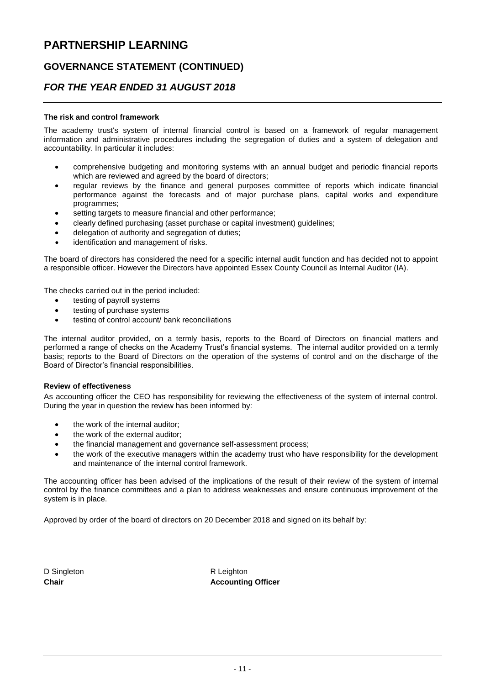# **GOVERNANCE STATEMENT (CONTINUED)**

### *FOR THE YEAR ENDED 31 AUGUST 2018*

#### **The risk and control framework**

The academy trust's system of internal financial control is based on a framework of regular management information and administrative procedures including the segregation of duties and a system of delegation and accountability. In particular it includes:

- comprehensive budgeting and monitoring systems with an annual budget and periodic financial reports which are reviewed and agreed by the board of directors:
- regular reviews by the finance and general purposes committee of reports which indicate financial performance against the forecasts and of major purchase plans, capital works and expenditure programmes;
- setting targets to measure financial and other performance;
- clearly defined purchasing (asset purchase or capital investment) guidelines;
- delegation of authority and segregation of duties;
- identification and management of risks.

The board of directors has considered the need for a specific internal audit function and has decided not to appoint a responsible officer. However the Directors have appointed Essex County Council as Internal Auditor (IA).

The checks carried out in the period included:

- testing of payroll systems
- testing of purchase systems
- testing of control account/ bank reconciliations

The internal auditor provided, on a termly basis, reports to the Board of Directors on financial matters and performed a range of checks on the Academy Trust's financial systems. The internal auditor provided on a termly basis; reports to the Board of Directors on the operation of the systems of control and on the discharge of the Board of Director's financial responsibilities.

#### **Review of effectiveness**

As accounting officer the CEO has responsibility for reviewing the effectiveness of the system of internal control. During the year in question the review has been informed by:

- the work of the internal auditor;
- the work of the external auditor;
- the financial management and governance self-assessment process;
- the work of the executive managers within the academy trust who have responsibility for the development and maintenance of the internal control framework.

The accounting officer has been advised of the implications of the result of their review of the system of internal control by the finance committees and a plan to address weaknesses and ensure continuous improvement of the system is in place.

Approved by order of the board of directors on 20 December 2018 and signed on its behalf by:

| D Singleton |  |
|-------------|--|
| Chair       |  |

R Leighton **Accounting Officer**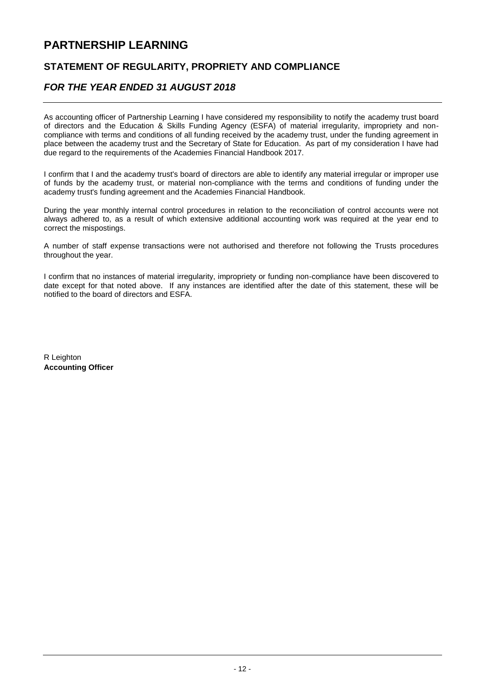## **STATEMENT OF REGULARITY, PROPRIETY AND COMPLIANCE**

### *FOR THE YEAR ENDED 31 AUGUST 2018*

As accounting officer of Partnership Learning I have considered my responsibility to notify the academy trust board of directors and the Education & Skills Funding Agency (ESFA) of material irregularity, impropriety and noncompliance with terms and conditions of all funding received by the academy trust, under the funding agreement in place between the academy trust and the Secretary of State for Education. As part of my consideration I have had due regard to the requirements of the Academies Financial Handbook 2017.

I confirm that I and the academy trust's board of directors are able to identify any material irregular or improper use of funds by the academy trust, or material non-compliance with the terms and conditions of funding under the academy trust's funding agreement and the Academies Financial Handbook.

During the year monthly internal control procedures in relation to the reconciliation of control accounts were not always adhered to, as a result of which extensive additional accounting work was required at the year end to correct the mispostings.

A number of staff expense transactions were not authorised and therefore not following the Trusts procedures throughout the year.

I confirm that no instances of material irregularity, impropriety or funding non-compliance have been discovered to date except for that noted above. If any instances are identified after the date of this statement, these will be notified to the board of directors and ESFA.

R Leighton **Accounting Officer**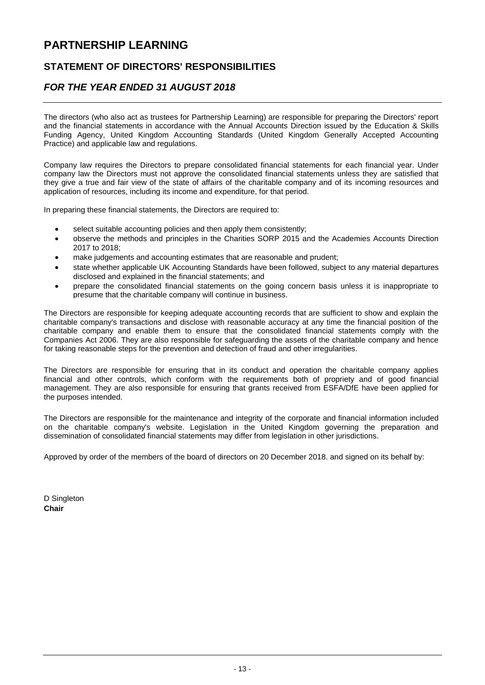### **STATEMENT OF DIRECTORS' RESPONSIBILITIES**

### *FOR THE YEAR ENDED 31 AUGUST 2018*

The directors (who also act as trustees for Partnership Learning) are responsible for preparing the Directors' report and the financial statements in accordance with the Annual Accounts Direction issued by the Education & Skills Funding Agency, United Kingdom Accounting Standards (United Kingdom Generally Accepted Accounting Practice) and applicable law and regulations.

Company law requires the Directors to prepare consolidated financial statements for each financial year. Under company law the Directors must not approve the consolidated financial statements unless they are satisfied that they give a true and fair view of the state of affairs of the charitable company and of its incoming resources and application of resources, including its income and expenditure, for that period.

In preparing these financial statements, the Directors are required to:

- select suitable accounting policies and then apply them consistently;
- observe the methods and principles in the Charities SORP 2015 and the Academies Accounts Direction 2017 to 2018;
- make judgements and accounting estimates that are reasonable and prudent;
- state whether applicable UK Accounting Standards have been followed, subject to any material departures disclosed and explained in the financial statements; and
- prepare the consolidated financial statements on the going concern basis unless it is inappropriate to presume that the charitable company will continue in business.

The Directors are responsible for keeping adequate accounting records that are sufficient to show and explain the charitable company's transactions and disclose with reasonable accuracy at any time the financial position of the charitable company and enable them to ensure that the consolidated financial statements comply with the Companies Act 2006. They are also responsible for safeguarding the assets of the charitable company and hence for taking reasonable steps for the prevention and detection of fraud and other irregularities.

The Directors are responsible for ensuring that in its conduct and operation the charitable company applies financial and other controls, which conform with the requirements both of propriety and of good financial management. They are also responsible for ensuring that grants received from ESFA/DfE have been applied for the purposes intended.

The Directors are responsible for the maintenance and integrity of the corporate and financial information included on the charitable company's website. Legislation in the United Kingdom governing the preparation and dissemination of consolidated financial statements may differ from legislation in other jurisdictions.

Approved by order of the members of the board of directors on 20 December 2018. and signed on its behalf by:

D Singleton **Chair**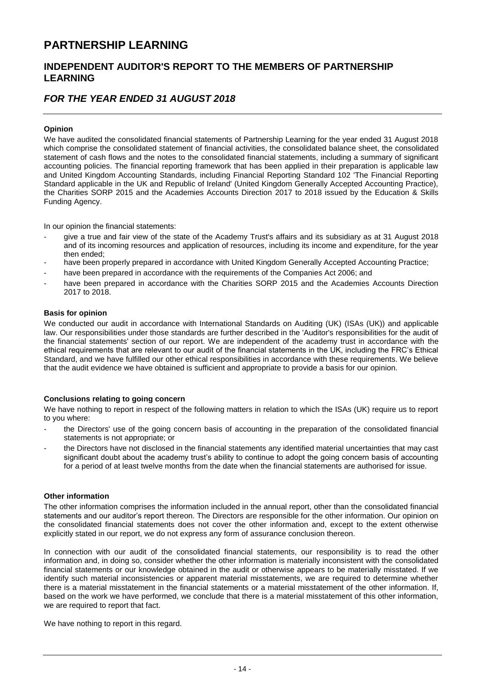### **INDEPENDENT AUDITOR'S REPORT TO THE MEMBERS OF PARTNERSHIP LEARNING**

### *FOR THE YEAR ENDED 31 AUGUST 2018*

#### **Opinion**

We have audited the consolidated financial statements of Partnership Learning for the year ended 31 August 2018 which comprise the consolidated statement of financial activities, the consolidated balance sheet, the consolidated statement of cash flows and the notes to the consolidated financial statements, including a summary of significant accounting policies. The financial reporting framework that has been applied in their preparation is applicable law and United Kingdom Accounting Standards, including Financial Reporting Standard 102 'The Financial Reporting Standard applicable in the UK and Republic of Ireland' (United Kingdom Generally Accepted Accounting Practice), the Charities SORP 2015 and the Academies Accounts Direction 2017 to 2018 issued by the Education & Skills Funding Agency.

In our opinion the financial statements:

- give a true and fair view of the state of the Academy Trust's affairs and its subsidiary as at 31 August 2018 and of its incoming resources and application of resources, including its income and expenditure, for the year then ended;
- have been properly prepared in accordance with United Kingdom Generally Accepted Accounting Practice;
- have been prepared in accordance with the requirements of the Companies Act 2006; and
- have been prepared in accordance with the Charities SORP 2015 and the Academies Accounts Direction 2017 to 2018.

#### **Basis for opinion**

We conducted our audit in accordance with International Standards on Auditing (UK) (ISAs (UK)) and applicable law. Our responsibilities under those standards are further described in the 'Auditor's responsibilities for the audit of the financial statements' section of our report. We are independent of the academy trust in accordance with the ethical requirements that are relevant to our audit of the financial statements in the UK, including the FRC's Ethical Standard, and we have fulfilled our other ethical responsibilities in accordance with these requirements. We believe that the audit evidence we have obtained is sufficient and appropriate to provide a basis for our opinion.

#### **Conclusions relating to going concern**

We have nothing to report in respect of the following matters in relation to which the ISAs (UK) require us to report to you where:

- the Directors' use of the going concern basis of accounting in the preparation of the consolidated financial statements is not appropriate; or
- the Directors have not disclosed in the financial statements any identified material uncertainties that may cast significant doubt about the academy trust's ability to continue to adopt the going concern basis of accounting for a period of at least twelve months from the date when the financial statements are authorised for issue.

#### **Other information**

The other information comprises the information included in the annual report, other than the consolidated financial statements and our auditor's report thereon. The Directors are responsible for the other information. Our opinion on the consolidated financial statements does not cover the other information and, except to the extent otherwise explicitly stated in our report, we do not express any form of assurance conclusion thereon.

In connection with our audit of the consolidated financial statements, our responsibility is to read the other information and, in doing so, consider whether the other information is materially inconsistent with the consolidated financial statements or our knowledge obtained in the audit or otherwise appears to be materially misstated. If we identify such material inconsistencies or apparent material misstatements, we are required to determine whether there is a material misstatement in the financial statements or a material misstatement of the other information. If, based on the work we have performed, we conclude that there is a material misstatement of this other information, we are required to report that fact.

We have nothing to report in this regard.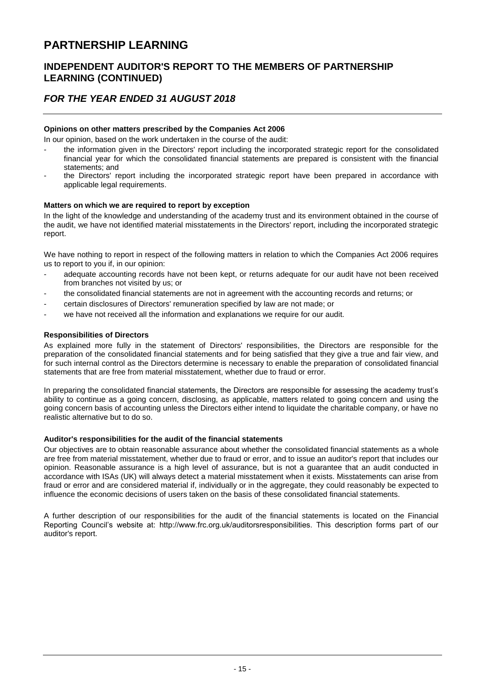### **INDEPENDENT AUDITOR'S REPORT TO THE MEMBERS OF PARTNERSHIP LEARNING (CONTINUED)**

## *FOR THE YEAR ENDED 31 AUGUST 2018*

#### **Opinions on other matters prescribed by the Companies Act 2006**

In our opinion, based on the work undertaken in the course of the audit:

- the information given in the Directors' report including the incorporated strategic report for the consolidated financial year for which the consolidated financial statements are prepared is consistent with the financial statements; and
- the Directors' report including the incorporated strategic report have been prepared in accordance with applicable legal requirements.

#### **Matters on which we are required to report by exception**

In the light of the knowledge and understanding of the academy trust and its environment obtained in the course of the audit, we have not identified material misstatements in the Directors' report, including the incorporated strategic report.

We have nothing to report in respect of the following matters in relation to which the Companies Act 2006 requires us to report to you if, in our opinion:

- adequate accounting records have not been kept, or returns adequate for our audit have not been received from branches not visited by us; or
- the consolidated financial statements are not in agreement with the accounting records and returns; or
- certain disclosures of Directors' remuneration specified by law are not made; or
- we have not received all the information and explanations we require for our audit.

#### **Responsibilities of Directors**

As explained more fully in the statement of Directors' responsibilities, the Directors are responsible for the preparation of the consolidated financial statements and for being satisfied that they give a true and fair view, and for such internal control as the Directors determine is necessary to enable the preparation of consolidated financial statements that are free from material misstatement, whether due to fraud or error.

In preparing the consolidated financial statements, the Directors are responsible for assessing the academy trust's ability to continue as a going concern, disclosing, as applicable, matters related to going concern and using the going concern basis of accounting unless the Directors either intend to liquidate the charitable company, or have no realistic alternative but to do so.

#### **Auditor's responsibilities for the audit of the financial statements**

Our objectives are to obtain reasonable assurance about whether the consolidated financial statements as a whole are free from material misstatement, whether due to fraud or error, and to issue an auditor's report that includes our opinion. Reasonable assurance is a high level of assurance, but is not a guarantee that an audit conducted in accordance with ISAs (UK) will always detect a material misstatement when it exists. Misstatements can arise from fraud or error and are considered material if, individually or in the aggregate, they could reasonably be expected to influence the economic decisions of users taken on the basis of these consolidated financial statements.

A further description of our responsibilities for the audit of the financial statements is located on the Financial Reporting Council's website at: http://www.frc.org.uk/auditorsresponsibilities. This description forms part of our auditor's report.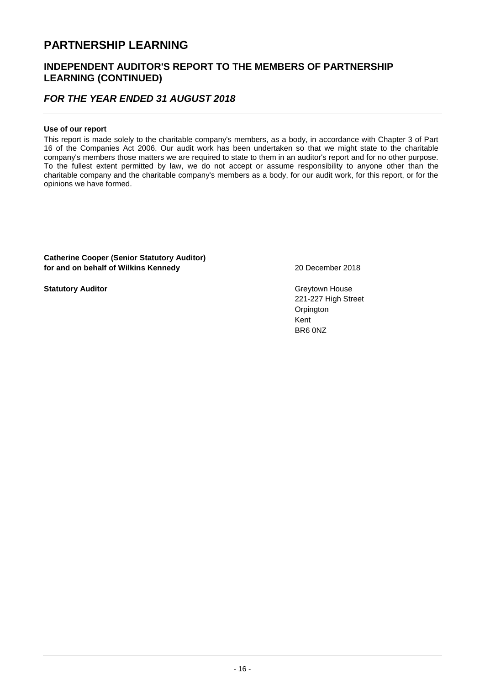### **INDEPENDENT AUDITOR'S REPORT TO THE MEMBERS OF PARTNERSHIP LEARNING (CONTINUED)**

### *FOR THE YEAR ENDED 31 AUGUST 2018*

#### **Use of our report**

This report is made solely to the charitable company's members, as a body, in accordance with Chapter 3 of Part 16 of the Companies Act 2006. Our audit work has been undertaken so that we might state to the charitable company's members those matters we are required to state to them in an auditor's report and for no other purpose. To the fullest extent permitted by law, we do not accept or assume responsibility to anyone other than the charitable company and the charitable company's members as a body, for our audit work, for this report, or for the opinions we have formed.

**Catherine Cooper (Senior Statutory Auditor) for and on behalf of Wilkins Kennedy** 20 December 2018

**Statutory Auditor** Greytown House

221-227 High Street Orpington Kent BR6 0NZ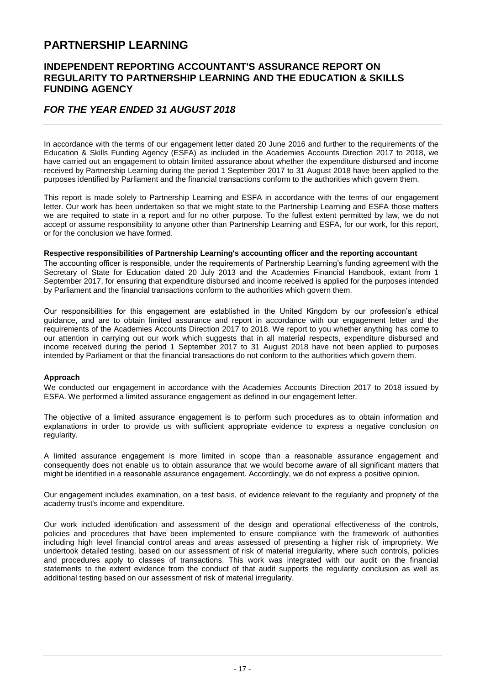### **INDEPENDENT REPORTING ACCOUNTANT'S ASSURANCE REPORT ON REGULARITY TO PARTNERSHIP LEARNING AND THE EDUCATION & SKILLS FUNDING AGENCY**

### *FOR THE YEAR ENDED 31 AUGUST 2018*

In accordance with the terms of our engagement letter dated 20 June 2016 and further to the requirements of the Education & Skills Funding Agency (ESFA) as included in the Academies Accounts Direction 2017 to 2018, we have carried out an engagement to obtain limited assurance about whether the expenditure disbursed and income received by Partnership Learning during the period 1 September 2017 to 31 August 2018 have been applied to the purposes identified by Parliament and the financial transactions conform to the authorities which govern them.

This report is made solely to Partnership Learning and ESFA in accordance with the terms of our engagement letter. Our work has been undertaken so that we might state to the Partnership Learning and ESFA those matters we are required to state in a report and for no other purpose. To the fullest extent permitted by law, we do not accept or assume responsibility to anyone other than Partnership Learning and ESFA, for our work, for this report, or for the conclusion we have formed.

#### **Respective responsibilities of Partnership Learning's accounting officer and the reporting accountant**

The accounting officer is responsible, under the requirements of Partnership Learning's funding agreement with the Secretary of State for Education dated 20 July 2013 and the Academies Financial Handbook, extant from 1 September 2017, for ensuring that expenditure disbursed and income received is applied for the purposes intended by Parliament and the financial transactions conform to the authorities which govern them.

Our responsibilities for this engagement are established in the United Kingdom by our profession's ethical guidance, and are to obtain limited assurance and report in accordance with our engagement letter and the requirements of the Academies Accounts Direction 2017 to 2018. We report to you whether anything has come to our attention in carrying out our work which suggests that in all material respects, expenditure disbursed and income received during the period 1 September 2017 to 31 August 2018 have not been applied to purposes intended by Parliament or that the financial transactions do not conform to the authorities which govern them.

#### **Approach**

We conducted our engagement in accordance with the Academies Accounts Direction 2017 to 2018 issued by ESFA. We performed a limited assurance engagement as defined in our engagement letter.

The objective of a limited assurance engagement is to perform such procedures as to obtain information and explanations in order to provide us with sufficient appropriate evidence to express a negative conclusion on regularity.

A limited assurance engagement is more limited in scope than a reasonable assurance engagement and consequently does not enable us to obtain assurance that we would become aware of all significant matters that might be identified in a reasonable assurance engagement. Accordingly, we do not express a positive opinion.

Our engagement includes examination, on a test basis, of evidence relevant to the regularity and propriety of the academy trust's income and expenditure.

Our work included identification and assessment of the design and operational effectiveness of the controls, policies and procedures that have been implemented to ensure compliance with the framework of authorities including high level financial control areas and areas assessed of presenting a higher risk of impropriety. We undertook detailed testing, based on our assessment of risk of material irregularity, where such controls, policies and procedures apply to classes of transactions. This work was integrated with our audit on the financial statements to the extent evidence from the conduct of that audit supports the regularity conclusion as well as additional testing based on our assessment of risk of material irregularity.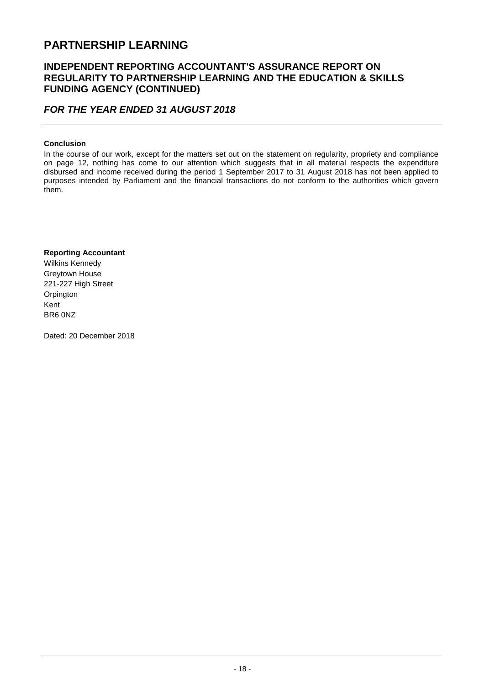### **INDEPENDENT REPORTING ACCOUNTANT'S ASSURANCE REPORT ON REGULARITY TO PARTNERSHIP LEARNING AND THE EDUCATION & SKILLS FUNDING AGENCY (CONTINUED)**

### *FOR THE YEAR ENDED 31 AUGUST 2018*

#### **Conclusion**

In the course of our work, except for the matters set out on the statement on regularity, propriety and compliance on page 12, nothing has come to our attention which suggests that in all material respects the expenditure disbursed and income received during the period 1 September 2017 to 31 August 2018 has not been applied to purposes intended by Parliament and the financial transactions do not conform to the authorities which govern them.

**Reporting Accountant** Wilkins Kennedy Greytown House 221-227 High Street **Orpington** Kent BR6 0NZ

Dated: 20 December 2018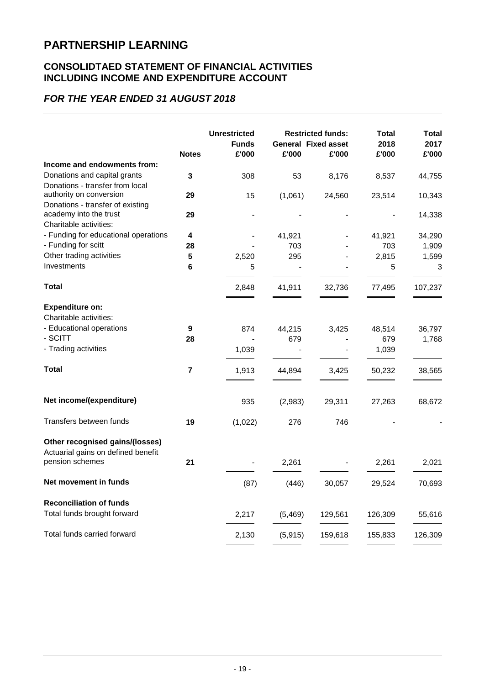### **CONSOLIDTAED STATEMENT OF FINANCIAL ACTIVITIES INCLUDING INCOME AND EXPENDITURE ACCOUNT**

# *FOR THE YEAR ENDED 31 AUGUST 2018*

|                                                                       | <b>Notes</b>            | <b>Unrestricted</b><br><b>Funds</b><br>£'000 | £'000    | <b>Restricted funds:</b><br><b>General Fixed asset</b><br>£'000 | <b>Total</b><br>2018<br>£'000 | <b>Total</b><br>2017<br>£'000 |
|-----------------------------------------------------------------------|-------------------------|----------------------------------------------|----------|-----------------------------------------------------------------|-------------------------------|-------------------------------|
| Income and endowments from:                                           |                         |                                              |          |                                                                 |                               |                               |
| Donations and capital grants<br>Donations - transfer from local       | 3                       | 308                                          | 53       | 8,176                                                           | 8,537                         | 44,755                        |
| authority on conversion<br>Donations - transfer of existing           | 29                      | 15                                           | (1,061)  | 24,560                                                          | 23,514                        | 10,343                        |
| academy into the trust<br>Charitable activities:                      | 29                      | $\overline{\phantom{a}}$                     |          |                                                                 |                               | 14,338                        |
| - Funding for educational operations                                  | $\overline{\mathbf{4}}$ |                                              | 41,921   |                                                                 | 41,921                        | 34,290                        |
| - Funding for scitt                                                   | 28                      |                                              | 703      |                                                                 | 703                           | 1,909                         |
| Other trading activities                                              | 5                       | 2,520                                        | 295      |                                                                 | 2,815                         | 1,599                         |
| Investments                                                           | 6                       | 5                                            |          |                                                                 | 5                             | 3                             |
| Total                                                                 |                         | 2,848                                        | 41,911   | 32,736                                                          | 77,495                        | 107,237                       |
| <b>Expenditure on:</b><br>Charitable activities:                      |                         |                                              |          |                                                                 |                               |                               |
| - Educational operations                                              | $\boldsymbol{9}$        | 874                                          | 44,215   | 3,425                                                           | 48,514                        | 36,797                        |
| - SCITT                                                               | 28                      |                                              | 679      |                                                                 | 679                           | 1,768                         |
| - Trading activities                                                  |                         | 1,039                                        |          |                                                                 | 1,039                         |                               |
| <b>Total</b>                                                          | 7                       | 1,913                                        | 44,894   | 3,425                                                           | 50,232                        | 38,565                        |
| Net income/(expenditure)                                              |                         | 935                                          | (2,983)  | 29,311                                                          | 27,263                        | 68,672                        |
| Transfers between funds                                               | 19                      | (1,022)                                      | 276      | 746                                                             |                               |                               |
| Other recognised gains/(losses)<br>Actuarial gains on defined benefit |                         |                                              |          |                                                                 |                               |                               |
| pension schemes                                                       | 21                      |                                              | 2,261    |                                                                 | 2,261                         | 2,021                         |
| Net movement in funds                                                 |                         | (87)                                         | (446)    | 30,057                                                          | 29,524                        | 70,693                        |
| <b>Reconciliation of funds</b>                                        |                         |                                              |          |                                                                 |                               |                               |
| Total funds brought forward                                           |                         | 2,217                                        | (5,469)  | 129,561                                                         | 126,309                       | 55,616                        |
| Total funds carried forward                                           |                         | 2,130                                        | (5, 915) | 159,618                                                         | 155,833                       | 126,309                       |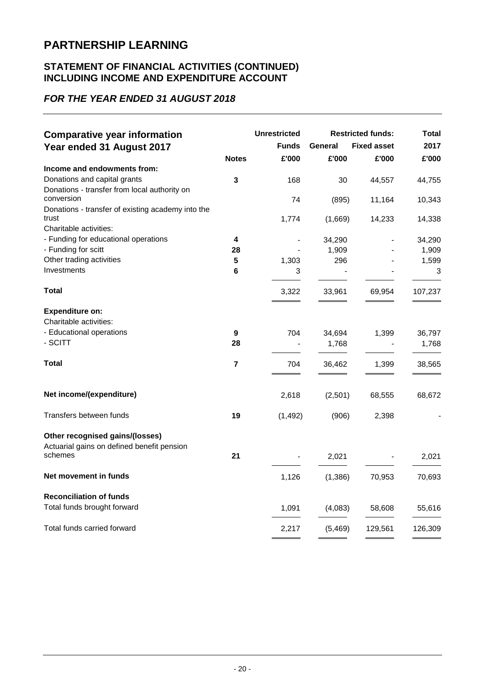### **STATEMENT OF FINANCIAL ACTIVITIES (CONTINUED) INCLUDING INCOME AND EXPENDITURE ACCOUNT**

# *FOR THE YEAR ENDED 31 AUGUST 2018*

| <b>Comparative year information</b>                                           |                | <b>Unrestricted</b><br><b>Funds</b> | General  | <b>Restricted funds:</b><br><b>Fixed asset</b> | Total<br>2017 |
|-------------------------------------------------------------------------------|----------------|-------------------------------------|----------|------------------------------------------------|---------------|
| Year ended 31 August 2017                                                     | <b>Notes</b>   | £'000                               | £'000    | £'000                                          | £'000         |
| Income and endowments from:                                                   |                |                                     |          |                                                |               |
| Donations and capital grants                                                  | 3              | 168                                 | 30       | 44,557                                         | 44,755        |
| Donations - transfer from local authority on                                  |                |                                     |          |                                                |               |
| conversion                                                                    |                | 74                                  | (895)    | 11,164                                         | 10,343        |
| Donations - transfer of existing academy into the                             |                |                                     |          |                                                |               |
| trust                                                                         |                | 1,774                               | (1,669)  | 14,233                                         | 14,338        |
| Charitable activities:                                                        |                |                                     |          |                                                |               |
| - Funding for educational operations                                          | 4              |                                     | 34,290   |                                                | 34,290        |
| - Funding for scitt                                                           | 28             |                                     | 1,909    |                                                | 1,909         |
| Other trading activities                                                      | 5              | 1,303                               | 296      |                                                | 1,599         |
| Investments                                                                   | 6              | 3                                   |          |                                                | 3             |
|                                                                               |                |                                     |          |                                                |               |
| <b>Total</b>                                                                  |                | 3,322                               | 33,961   | 69,954                                         | 107,237       |
| <b>Expenditure on:</b>                                                        |                |                                     |          |                                                |               |
| Charitable activities:                                                        |                |                                     |          |                                                |               |
| - Educational operations                                                      | 9              | 704                                 | 34,694   | 1,399                                          | 36,797        |
| - SCITT                                                                       | 28             |                                     | 1,768    |                                                | 1,768         |
| Total                                                                         | $\overline{7}$ | 704                                 | 36,462   | 1,399                                          | 38,565        |
| Net income/(expenditure)                                                      |                | 2,618                               | (2,501)  | 68,555                                         | 68,672        |
| Transfers between funds                                                       | 19             | (1, 492)                            | (906)    | 2,398                                          |               |
| Other recognised gains/(losses)<br>Actuarial gains on defined benefit pension |                |                                     |          |                                                |               |
| schemes                                                                       | 21             |                                     | 2,021    |                                                | 2,021         |
| Net movement in funds                                                         |                | 1,126                               | (1, 386) | 70,953                                         | 70,693        |
| <b>Reconciliation of funds</b>                                                |                |                                     |          |                                                |               |
| Total funds brought forward                                                   |                | 1,091                               | (4,083)  | 58,608                                         | 55,616        |
| Total funds carried forward                                                   |                | 2,217                               | (5,469)  | 129,561                                        | 126,309       |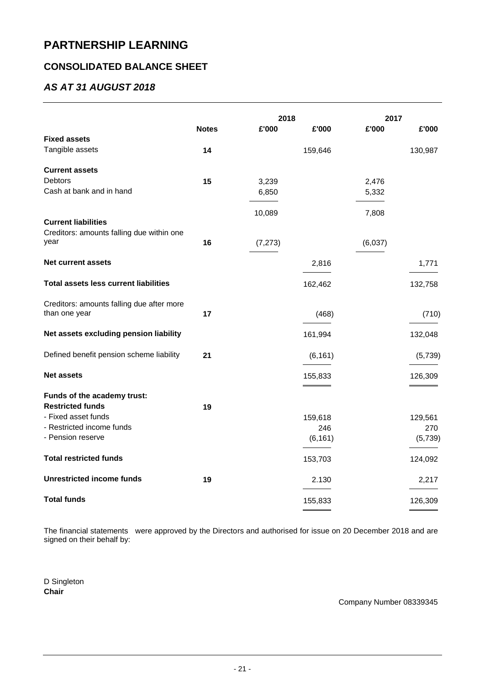# **CONSOLIDATED BALANCE SHEET**

# *AS AT 31 AUGUST 2018*

|                                              |              |          | 2018     |         | 2017    |
|----------------------------------------------|--------------|----------|----------|---------|---------|
|                                              | <b>Notes</b> | £'000    | £'000    | £'000   | £'000   |
| <b>Fixed assets</b>                          |              |          |          |         |         |
| Tangible assets                              | 14           |          | 159,646  |         | 130,987 |
| <b>Current assets</b>                        |              |          |          |         |         |
| Debtors                                      | 15           | 3,239    |          | 2,476   |         |
| Cash at bank and in hand                     |              | 6,850    |          | 5,332   |         |
|                                              |              | 10,089   |          | 7,808   |         |
| <b>Current liabilities</b>                   |              |          |          |         |         |
| Creditors: amounts falling due within one    |              |          |          |         |         |
| year                                         | 16           | (7, 273) |          | (6,037) |         |
| <b>Net current assets</b>                    |              |          | 2,816    |         | 1,771   |
| <b>Total assets less current liabilities</b> |              |          | 162,462  |         | 132,758 |
| Creditors: amounts falling due after more    |              |          |          |         |         |
| than one year                                | 17           |          | (468)    |         | (710)   |
| Net assets excluding pension liability       |              |          | 161,994  |         | 132,048 |
| Defined benefit pension scheme liability     | 21           |          | (6, 161) |         | (5,739) |
|                                              |              |          |          |         |         |
| <b>Net assets</b>                            |              |          | 155,833  |         | 126,309 |
| Funds of the academy trust:                  |              |          |          |         |         |
| <b>Restricted funds</b>                      | 19           |          |          |         |         |
| - Fixed asset funds                          |              |          | 159,618  |         | 129,561 |
| - Restricted income funds                    |              |          | 246      |         | 270     |
| - Pension reserve                            |              |          | (6, 161) |         | (5,739) |
| <b>Total restricted funds</b>                |              |          | 153,703  |         | 124,092 |
| <b>Unrestricted income funds</b>             | 19           |          | 2.130    |         | 2,217   |
| <b>Total funds</b>                           |              |          | 155,833  |         | 126,309 |

The financial statements were approved by the Directors and authorised for issue on 20 December 2018 and are signed on their behalf by:

D Singleton **Chair**

### Company Number 08339345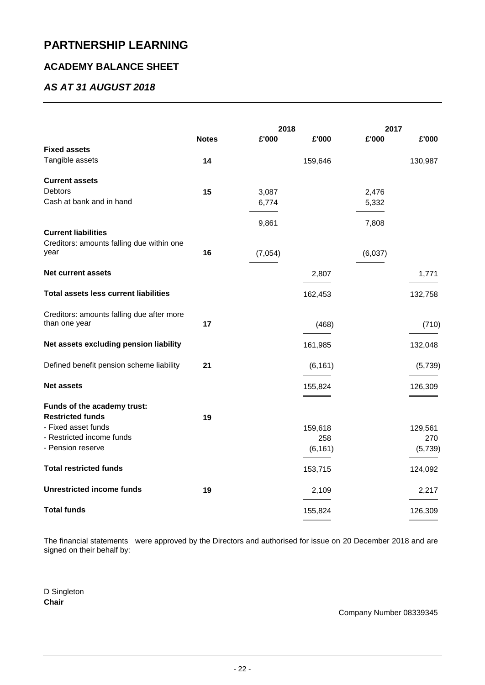### **ACADEMY BALANCE SHEET**

## *AS AT 31 AUGUST 2018*

|                                              |              | 2018    |          | 2017    |         |
|----------------------------------------------|--------------|---------|----------|---------|---------|
|                                              | <b>Notes</b> | £'000   | £'000    | £'000   | £'000   |
| <b>Fixed assets</b>                          |              |         |          |         |         |
| Tangible assets                              | 14           |         | 159,646  |         | 130,987 |
| <b>Current assets</b>                        |              |         |          |         |         |
| <b>Debtors</b>                               | 15           | 3,087   |          | 2,476   |         |
| Cash at bank and in hand                     |              | 6,774   |          | 5,332   |         |
|                                              |              | 9,861   |          | 7,808   |         |
| <b>Current liabilities</b>                   |              |         |          |         |         |
| Creditors: amounts falling due within one    |              |         |          |         |         |
| year                                         | 16           | (7,054) |          | (6,037) |         |
| <b>Net current assets</b>                    |              |         | 2,807    |         | 1,771   |
| <b>Total assets less current liabilities</b> |              |         | 162,453  |         | 132,758 |
| Creditors: amounts falling due after more    |              |         |          |         |         |
| than one year                                | 17           |         | (468)    |         | (710)   |
| Net assets excluding pension liability       |              |         | 161,985  |         | 132,048 |
| Defined benefit pension scheme liability     | 21           |         | (6, 161) |         | (5,739) |
| <b>Net assets</b>                            |              |         | 155,824  |         | 126,309 |
|                                              |              |         |          |         |         |
| Funds of the academy trust:                  |              |         |          |         |         |
| <b>Restricted funds</b>                      | 19           |         |          |         |         |
| - Fixed asset funds                          |              |         | 159,618  |         | 129,561 |
| - Restricted income funds                    |              |         | 258      |         | 270     |
| - Pension reserve                            |              |         | (6, 161) |         | (5,739) |
| <b>Total restricted funds</b>                |              |         | 153,715  |         | 124,092 |
| <b>Unrestricted income funds</b>             | 19           |         | 2,109    |         | 2,217   |
| <b>Total funds</b>                           |              |         | 155,824  |         | 126,309 |

The financial statements were approved by the Directors and authorised for issue on 20 December 2018 and are signed on their behalf by:

D Singleton **Chair**

Company Number 08339345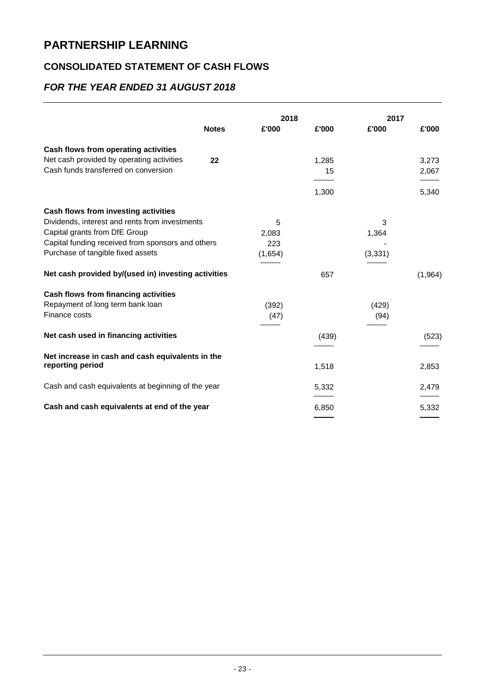# **CONSOLIDATED STATEMENT OF CASH FLOWS**

# *FOR THE YEAR ENDED 31 AUGUST 2018*

|                                                                      |              | 2018    |       | 2017     |          |
|----------------------------------------------------------------------|--------------|---------|-------|----------|----------|
|                                                                      | <b>Notes</b> | £'000   | £'000 | £'000    | £'000    |
| Cash flows from operating activities                                 |              |         |       |          |          |
| Net cash provided by operating activities                            | 22           |         | 1,285 |          | 3,273    |
| Cash funds transferred on conversion                                 |              |         | 15    |          | 2,067    |
|                                                                      |              |         |       |          |          |
|                                                                      |              |         | 1,300 |          | 5,340    |
| Cash flows from investing activities                                 |              |         |       |          |          |
| Dividends, interest and rents from investments                       |              | 5       |       | 3        |          |
| Capital grants from DfE Group                                        |              | 2,083   |       | 1,364    |          |
| Capital funding received from sponsors and others                    |              | 223     |       |          |          |
| Purchase of tangible fixed assets                                    |              | (1,654) |       | (3, 331) |          |
| Net cash provided by/(used in) investing activities                  |              |         | 657   |          | (1, 964) |
| Cash flows from financing activities                                 |              |         |       |          |          |
| Repayment of long term bank loan                                     |              | (392)   |       | (429)    |          |
| Finance costs                                                        |              | (47)    |       | (94)     |          |
| Net cash used in financing activities                                |              |         | (439) |          | (523)    |
| Net increase in cash and cash equivalents in the<br>reporting period |              |         | 1,518 |          | 2,853    |
| Cash and cash equivalents at beginning of the year                   |              |         | 5,332 |          | 2,479    |
| Cash and cash equivalents at end of the year                         |              |         | 6,850 |          | 5,332    |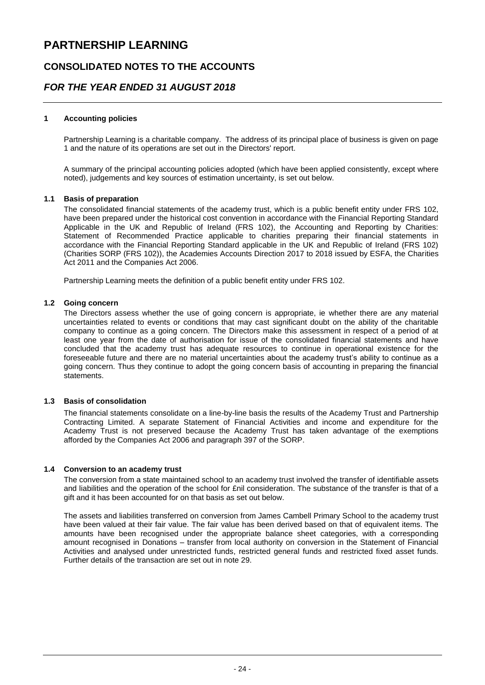### **CONSOLIDATED NOTES TO THE ACCOUNTS**

### *FOR THE YEAR ENDED 31 AUGUST 2018*

#### **1 Accounting policies**

Partnership Learning is a charitable company. The address of its principal place of business is given on page 1 and the nature of its operations are set out in the Directors' report.

A summary of the principal accounting policies adopted (which have been applied consistently, except where noted), judgements and key sources of estimation uncertainty, is set out below.

#### **1.1 Basis of preparation**

The consolidated financial statements of the academy trust, which is a public benefit entity under FRS 102, have been prepared under the historical cost convention in accordance with the Financial Reporting Standard Applicable in the UK and Republic of Ireland (FRS 102), the Accounting and Reporting by Charities: Statement of Recommended Practice applicable to charities preparing their financial statements in accordance with the Financial Reporting Standard applicable in the UK and Republic of Ireland (FRS 102) (Charities SORP (FRS 102)), the Academies Accounts Direction 2017 to 2018 issued by ESFA, the Charities Act 2011 and the Companies Act 2006.

Partnership Learning meets the definition of a public benefit entity under FRS 102.

#### **1.2 Going concern**

The Directors assess whether the use of going concern is appropriate, ie whether there are any material uncertainties related to events or conditions that may cast significant doubt on the ability of the charitable company to continue as a going concern. The Directors make this assessment in respect of a period of at least one year from the date of authorisation for issue of the consolidated financial statements and have concluded that the academy trust has adequate resources to continue in operational existence for the foreseeable future and there are no material uncertainties about the academy trust's ability to continue as a going concern. Thus they continue to adopt the going concern basis of accounting in preparing the financial statements.

#### **1.3 Basis of consolidation**

The financial statements consolidate on a line-by-line basis the results of the Academy Trust and Partnership Contracting Limited. A separate Statement of Financial Activities and income and expenditure for the Academy Trust is not preserved because the Academy Trust has taken advantage of the exemptions afforded by the Companies Act 2006 and paragraph 397 of the SORP.

#### **1.4 Conversion to an academy trust**

The conversion from a state maintained school to an academy trust involved the transfer of identifiable assets and liabilities and the operation of the school for £nil consideration. The substance of the transfer is that of a gift and it has been accounted for on that basis as set out below.

The assets and liabilities transferred on conversion from James Cambell Primary School to the academy trust have been valued at their fair value. The fair value has been derived based on that of equivalent items. The amounts have been recognised under the appropriate balance sheet categories, with a corresponding amount recognised in Donations – transfer from local authority on conversion in the Statement of Financial Activities and analysed under unrestricted funds, restricted general funds and restricted fixed asset funds. Further details of the transaction are set out in note 29.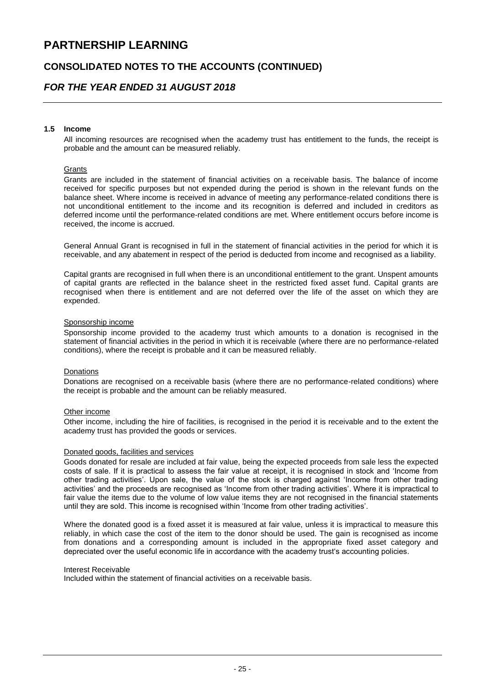### **CONSOLIDATED NOTES TO THE ACCOUNTS (CONTINUED)**

### *FOR THE YEAR ENDED 31 AUGUST 2018*

#### **1.5 Income**

All incoming resources are recognised when the academy trust has entitlement to the funds, the receipt is probable and the amount can be measured reliably.

#### **Grants**

Grants are included in the statement of financial activities on a receivable basis. The balance of income received for specific purposes but not expended during the period is shown in the relevant funds on the balance sheet. Where income is received in advance of meeting any performance-related conditions there is not unconditional entitlement to the income and its recognition is deferred and included in creditors as deferred income until the performance-related conditions are met. Where entitlement occurs before income is received, the income is accrued.

General Annual Grant is recognised in full in the statement of financial activities in the period for which it is receivable, and any abatement in respect of the period is deducted from income and recognised as a liability.

Capital grants are recognised in full when there is an unconditional entitlement to the grant. Unspent amounts of capital grants are reflected in the balance sheet in the restricted fixed asset fund. Capital grants are recognised when there is entitlement and are not deferred over the life of the asset on which they are expended.

#### Sponsorship income

Sponsorship income provided to the academy trust which amounts to a donation is recognised in the statement of financial activities in the period in which it is receivable (where there are no performance-related conditions), where the receipt is probable and it can be measured reliably.

#### Donations

Donations are recognised on a receivable basis (where there are no performance-related conditions) where the receipt is probable and the amount can be reliably measured.

#### Other income

Other income, including the hire of facilities, is recognised in the period it is receivable and to the extent the academy trust has provided the goods or services.

#### Donated goods, facilities and services

Goods donated for resale are included at fair value, being the expected proceeds from sale less the expected costs of sale. If it is practical to assess the fair value at receipt, it is recognised in stock and 'Income from other trading activities'. Upon sale, the value of the stock is charged against 'Income from other trading activities' and the proceeds are recognised as 'Income from other trading activities'. Where it is impractical to fair value the items due to the volume of low value items they are not recognised in the financial statements until they are sold. This income is recognised within 'Income from other trading activities'.

Where the donated good is a fixed asset it is measured at fair value, unless it is impractical to measure this reliably, in which case the cost of the item to the donor should be used. The gain is recognised as income from donations and a corresponding amount is included in the appropriate fixed asset category and depreciated over the useful economic life in accordance with the academy trust's accounting policies.

#### Interest Receivable

Included within the statement of financial activities on a receivable basis.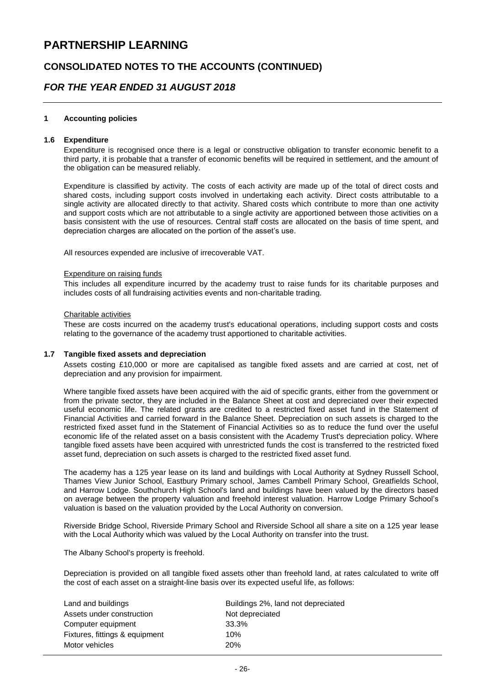### **CONSOLIDATED NOTES TO THE ACCOUNTS (CONTINUED)**

### *FOR THE YEAR ENDED 31 AUGUST 2018*

#### **1 Accounting policies**

#### **1.6 Expenditure**

Expenditure is recognised once there is a legal or constructive obligation to transfer economic benefit to a third party, it is probable that a transfer of economic benefits will be required in settlement, and the amount of the obligation can be measured reliably.

Expenditure is classified by activity. The costs of each activity are made up of the total of direct costs and shared costs, including support costs involved in undertaking each activity. Direct costs attributable to a single activity are allocated directly to that activity. Shared costs which contribute to more than one activity and support costs which are not attributable to a single activity are apportioned between those activities on a basis consistent with the use of resources. Central staff costs are allocated on the basis of time spent, and depreciation charges are allocated on the portion of the asset's use.

All resources expended are inclusive of irrecoverable VAT.

#### Expenditure on raising funds

This includes all expenditure incurred by the academy trust to raise funds for its charitable purposes and includes costs of all fundraising activities events and non-charitable trading.

#### Charitable activities

These are costs incurred on the academy trust's educational operations, including support costs and costs relating to the governance of the academy trust apportioned to charitable activities.

#### **1.7 Tangible fixed assets and depreciation**

Assets costing £10,000 or more are capitalised as tangible fixed assets and are carried at cost, net of depreciation and any provision for impairment.

Where tangible fixed assets have been acquired with the aid of specific grants, either from the government or from the private sector, they are included in the Balance Sheet at cost and depreciated over their expected useful economic life. The related grants are credited to a restricted fixed asset fund in the Statement of Financial Activities and carried forward in the Balance Sheet. Depreciation on such assets is charged to the restricted fixed asset fund in the Statement of Financial Activities so as to reduce the fund over the useful economic life of the related asset on a basis consistent with the Academy Trust's depreciation policy. Where tangible fixed assets have been acquired with unrestricted funds the cost is transferred to the restricted fixed asset fund, depreciation on such assets is charged to the restricted fixed asset fund.

The academy has a 125 year lease on its land and buildings with Local Authority at Sydney Russell School, Thames View Junior School, Eastbury Primary school, James Cambell Primary School, Greatfields School, and Harrow Lodge. Southchurch High School's land and buildings have been valued by the directors based on average between the property valuation and freehold interest valuation. Harrow Lodge Primary School's valuation is based on the valuation provided by the Local Authority on conversion.

Riverside Bridge School, Riverside Primary School and Riverside School all share a site on a 125 year lease with the Local Authority which was valued by the Local Authority on transfer into the trust.

The Albany School's property is freehold.

Depreciation is provided on all tangible fixed assets other than freehold land, at rates calculated to write off the cost of each asset on a straight-line basis over its expected useful life, as follows:

| Land and buildings             | Buildings 2%, land not depreciated |
|--------------------------------|------------------------------------|
| Assets under construction      | Not depreciated                    |
| Computer equipment             | 33.3%                              |
| Fixtures, fittings & equipment | 10%                                |
| Motor vehicles                 | 20%                                |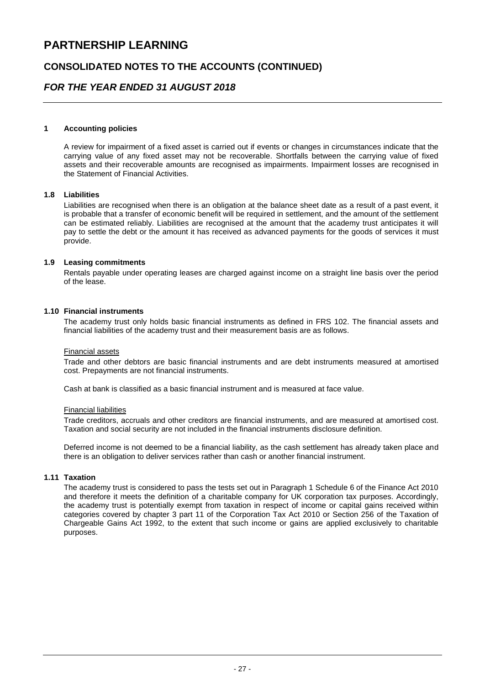### **CONSOLIDATED NOTES TO THE ACCOUNTS (CONTINUED)**

### *FOR THE YEAR ENDED 31 AUGUST 2018*

#### **1 Accounting policies**

A review for impairment of a fixed asset is carried out if events or changes in circumstances indicate that the carrying value of any fixed asset may not be recoverable. Shortfalls between the carrying value of fixed assets and their recoverable amounts are recognised as impairments. Impairment losses are recognised in the Statement of Financial Activities.

#### **1.8 Liabilities**

Liabilities are recognised when there is an obligation at the balance sheet date as a result of a past event, it is probable that a transfer of economic benefit will be required in settlement, and the amount of the settlement can be estimated reliably. Liabilities are recognised at the amount that the academy trust anticipates it will pay to settle the debt or the amount it has received as advanced payments for the goods of services it must provide.

#### **1.9 Leasing commitments**

Rentals payable under operating leases are charged against income on a straight line basis over the period of the lease.

#### **1.10 Financial instruments**

The academy trust only holds basic financial instruments as defined in FRS 102. The financial assets and financial liabilities of the academy trust and their measurement basis are as follows.

#### Financial assets

Trade and other debtors are basic financial instruments and are debt instruments measured at amortised cost. Prepayments are not financial instruments.

Cash at bank is classified as a basic financial instrument and is measured at face value.

#### Financial liabilities

Trade creditors, accruals and other creditors are financial instruments, and are measured at amortised cost. Taxation and social security are not included in the financial instruments disclosure definition.

Deferred income is not deemed to be a financial liability, as the cash settlement has already taken place and there is an obligation to deliver services rather than cash or another financial instrument.

#### **1.11 Taxation**

The academy trust is considered to pass the tests set out in Paragraph 1 Schedule 6 of the Finance Act 2010 and therefore it meets the definition of a charitable company for UK corporation tax purposes. Accordingly, the academy trust is potentially exempt from taxation in respect of income or capital gains received within categories covered by chapter 3 part 11 of the Corporation Tax Act 2010 or Section 256 of the Taxation of Chargeable Gains Act 1992, to the extent that such income or gains are applied exclusively to charitable purposes.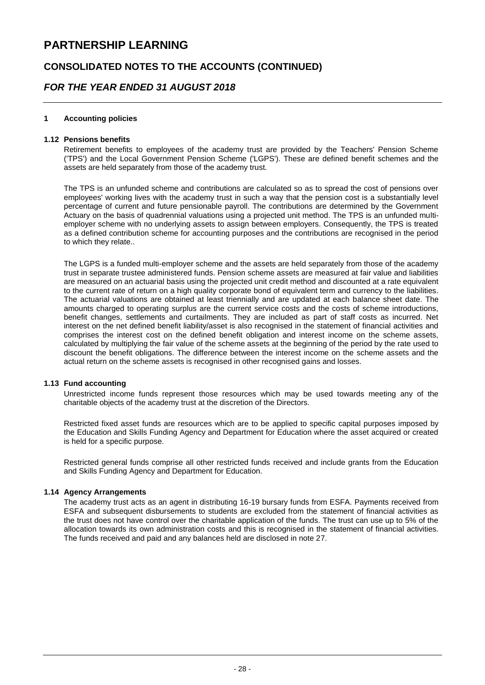### **CONSOLIDATED NOTES TO THE ACCOUNTS (CONTINUED)**

### *FOR THE YEAR ENDED 31 AUGUST 2018*

#### **1 Accounting policies**

#### **1.12 Pensions benefits**

Retirement benefits to employees of the academy trust are provided by the Teachers' Pension Scheme ('TPS') and the Local Government Pension Scheme ('LGPS'). These are defined benefit schemes and the assets are held separately from those of the academy trust.

The TPS is an unfunded scheme and contributions are calculated so as to spread the cost of pensions over employees' working lives with the academy trust in such a way that the pension cost is a substantially level percentage of current and future pensionable payroll. The contributions are determined by the Government Actuary on the basis of quadrennial valuations using a projected unit method. The TPS is an unfunded multiemployer scheme with no underlying assets to assign between employers. Consequently, the TPS is treated as a defined contribution scheme for accounting purposes and the contributions are recognised in the period to which they relate..

The LGPS is a funded multi-employer scheme and the assets are held separately from those of the academy trust in separate trustee administered funds. Pension scheme assets are measured at fair value and liabilities are measured on an actuarial basis using the projected unit credit method and discounted at a rate equivalent to the current rate of return on a high quality corporate bond of equivalent term and currency to the liabilities. The actuarial valuations are obtained at least triennially and are updated at each balance sheet date. The amounts charged to operating surplus are the current service costs and the costs of scheme introductions, benefit changes, settlements and curtailments. They are included as part of staff costs as incurred. Net interest on the net defined benefit liability/asset is also recognised in the statement of financial activities and comprises the interest cost on the defined benefit obligation and interest income on the scheme assets, calculated by multiplying the fair value of the scheme assets at the beginning of the period by the rate used to discount the benefit obligations. The difference between the interest income on the scheme assets and the actual return on the scheme assets is recognised in other recognised gains and losses.

#### **1.13 Fund accounting**

Unrestricted income funds represent those resources which may be used towards meeting any of the charitable objects of the academy trust at the discretion of the Directors.

Restricted fixed asset funds are resources which are to be applied to specific capital purposes imposed by the Education and Skills Funding Agency and Department for Education where the asset acquired or created is held for a specific purpose.

Restricted general funds comprise all other restricted funds received and include grants from the Education and Skills Funding Agency and Department for Education.

#### **1.14 Agency Arrangements**

The academy trust acts as an agent in distributing 16-19 bursary funds from ESFA. Payments received from ESFA and subsequent disbursements to students are excluded from the statement of financial activities as the trust does not have control over the charitable application of the funds. The trust can use up to 5% of the allocation towards its own administration costs and this is recognised in the statement of financial activities. The funds received and paid and any balances held are disclosed in note 27.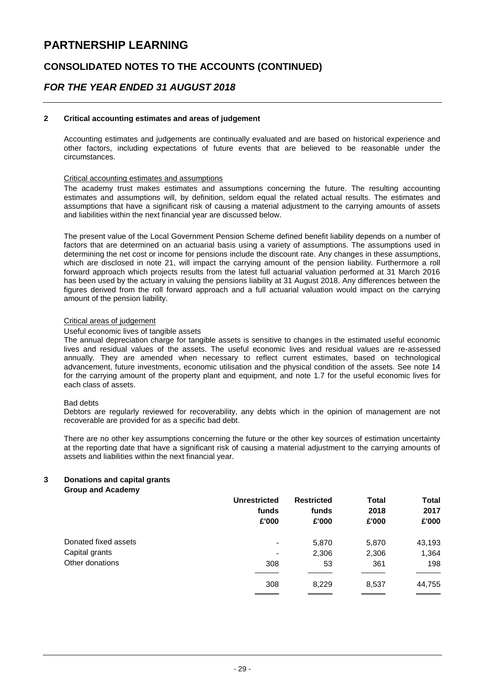### **CONSOLIDATED NOTES TO THE ACCOUNTS (CONTINUED)**

### *FOR THE YEAR ENDED 31 AUGUST 2018*

#### **2 Critical accounting estimates and areas of judgement**

Accounting estimates and judgements are continually evaluated and are based on historical experience and other factors, including expectations of future events that are believed to be reasonable under the circumstances.

#### Critical accounting estimates and assumptions

The academy trust makes estimates and assumptions concerning the future. The resulting accounting estimates and assumptions will, by definition, seldom equal the related actual results. The estimates and assumptions that have a significant risk of causing a material adjustment to the carrying amounts of assets and liabilities within the next financial year are discussed below.

The present value of the Local Government Pension Scheme defined benefit liability depends on a number of factors that are determined on an actuarial basis using a variety of assumptions. The assumptions used in determining the net cost or income for pensions include the discount rate. Any changes in these assumptions, which are disclosed in note 21, will impact the carrying amount of the pension liability. Furthermore a roll forward approach which projects results from the latest full actuarial valuation performed at 31 March 2016 has been used by the actuary in valuing the pensions liability at 31 August 2018. Any differences between the figures derived from the roll forward approach and a full actuarial valuation would impact on the carrying amount of the pension liability.

#### Critical areas of judgement

#### Useful economic lives of tangible assets

The annual depreciation charge for tangible assets is sensitive to changes in the estimated useful economic lives and residual values of the assets. The useful economic lives and residual values are re-assessed annually. They are amended when necessary to reflect current estimates, based on technological advancement, future investments, economic utilisation and the physical condition of the assets. See note 14 for the carrying amount of the property plant and equipment, and note 1.7 for the useful economic lives for each class of assets.

#### Bad debts

Debtors are regularly reviewed for recoverability, any debts which in the opinion of management are not recoverable are provided for as a specific bad debt.

There are no other key assumptions concerning the future or the other key sources of estimation uncertainty at the reporting date that have a significant risk of causing a material adjustment to the carrying amounts of assets and liabilities within the next financial year.

#### **3 Donations and capital grants**

#### **Group and Academy**

|                      | <b>Unrestricted</b><br>funds<br>£'000 | <b>Restricted</b><br>funds<br>£'000 | <b>Total</b><br>2018<br>£'000 | <b>Total</b><br>2017<br>£'000 |
|----------------------|---------------------------------------|-------------------------------------|-------------------------------|-------------------------------|
| Donated fixed assets | $\overline{\phantom{a}}$              | 5,870                               | 5,870                         | 43,193                        |
| Capital grants       | $\overline{\phantom{a}}$              | 2,306                               | 2,306                         | 1,364                         |
| Other donations      | 308                                   | 53                                  | 361                           | 198                           |
|                      | 308                                   | 8,229                               | 8,537                         | 44,755                        |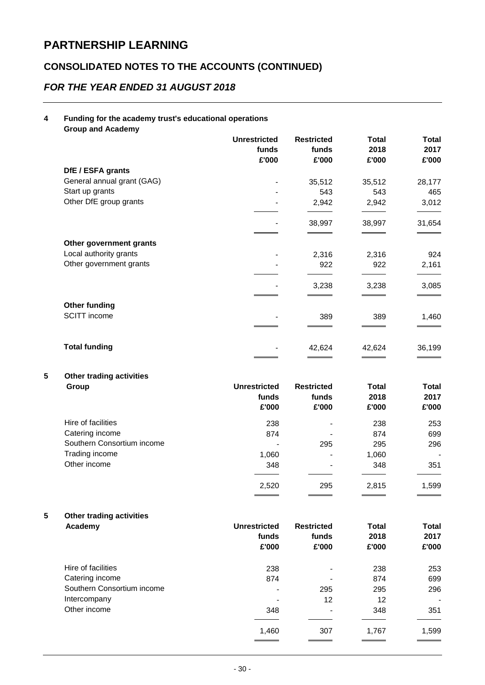# **CONSOLIDATED NOTES TO THE ACCOUNTS (CONTINUED)**

### *FOR THE YEAR ENDED 31 AUGUST 2018*

### **4 Funding for the academy trust's educational operations**

**Group and Academy**

|   |                                                 | <b>Unrestricted</b><br>funds | <b>Restricted</b><br>funds | <b>Total</b><br>2018 | <b>Total</b><br>2017 |
|---|-------------------------------------------------|------------------------------|----------------------------|----------------------|----------------------|
|   |                                                 | £'000                        | £'000                      | £'000                | £'000                |
|   | DfE / ESFA grants<br>General annual grant (GAG) |                              | 35,512                     | 35,512               | 28,177               |
|   | Start up grants                                 |                              | 543                        | 543                  | 465                  |
|   | Other DfE group grants                          |                              | 2,942                      | 2,942                | 3,012                |
|   |                                                 |                              |                            |                      |                      |
|   |                                                 |                              | 38,997                     | 38,997               | 31,654               |
|   |                                                 |                              |                            |                      |                      |
|   | Other government grants                         |                              |                            |                      |                      |
|   | Local authority grants                          |                              | 2,316                      | 2,316                | 924                  |
|   | Other government grants                         |                              | 922                        | 922                  | 2,161                |
|   |                                                 |                              | 3,238                      | 3,238                | 3,085                |
|   | <b>Other funding</b>                            |                              |                            |                      |                      |
|   | <b>SCITT</b> income                             |                              | 389                        | 389                  | 1,460                |
|   |                                                 |                              |                            |                      |                      |
|   | <b>Total funding</b>                            |                              | 42,624                     | 42,624               | 36,199               |
| 5 | <b>Other trading activities</b>                 |                              |                            |                      |                      |
|   | Group                                           | <b>Unrestricted</b>          | <b>Restricted</b>          | <b>Total</b>         | <b>Total</b>         |
|   |                                                 | funds                        | funds                      | 2018                 | 2017                 |
|   |                                                 | £'000                        | £'000                      | £'000                | £'000                |
|   | Hire of facilities                              | 238                          |                            | 238                  | 253                  |
|   | Catering income                                 | 874                          |                            | 874                  | 699                  |
|   | Southern Consortium income                      |                              | 295                        | 295                  | 296                  |
|   | Trading income                                  | 1,060                        |                            | 1,060                |                      |
|   | Other income                                    | 348                          |                            | 348                  | 351                  |
|   |                                                 | 2,520                        | 295                        | 2,815                | 1,599                |
| 5 | <b>Other trading activities</b>                 |                              |                            |                      |                      |
|   | Academy                                         | <b>Unrestricted</b>          | <b>Restricted</b>          | <b>Total</b>         | <b>Total</b>         |
|   |                                                 | funds                        | funds                      | 2018                 | 2017                 |
|   |                                                 | £'000                        | £'000                      | £'000                | £'000                |
|   | Hire of facilities                              | 238                          |                            | 238                  | 253                  |
|   | Catering income                                 | 874                          |                            | 874                  | 699                  |
|   | Southern Consortium income                      |                              | 295                        | 295                  | 296                  |

Intercompany 12 12 Other income 348 351

1,460 307 1,767 1,599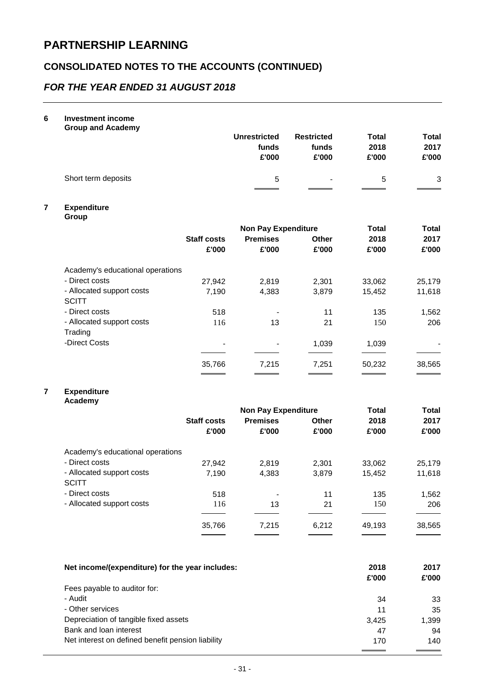# **CONSOLIDATED NOTES TO THE ACCOUNTS (CONTINUED)**

# *FOR THE YEAR ENDED 31 AUGUST 2018*

### **6 Investment income**

| <b>Group and Academy</b> | <b>Unrestricted</b> | <b>Restricted</b> | Total | <b>Total</b> |
|--------------------------|---------------------|-------------------|-------|--------------|
|                          | funds               | funds             | 2018  | 2017         |
|                          | £'000               | £'000             | £'000 | £'000        |
| Short term deposits      | 5                   | $\blacksquare$    | 5     | 3            |

#### **7 Expenditure Group**

|                                  |                    | <b>Non Pay Expenditure</b> |              | <b>Total</b> | <b>Total</b> |
|----------------------------------|--------------------|----------------------------|--------------|--------------|--------------|
|                                  | <b>Staff costs</b> | <b>Premises</b>            | <b>Other</b> | 2018         | 2017         |
|                                  | £'000              | £'000                      | £'000        | £'000        | £'000        |
| Academy's educational operations |                    |                            |              |              |              |
| - Direct costs                   | 27,942             | 2,819                      | 2,301        | 33,062       | 25,179       |
| - Allocated support costs        | 7,190              | 4,383                      | 3,879        | 15,452       | 11,618       |
| <b>SCITT</b>                     |                    |                            |              |              |              |
| - Direct costs                   | 518                |                            | 11           | 135          | 1,562        |
| - Allocated support costs        | 116                | 13                         | 21           | 150          | 206          |
| Trading                          |                    |                            |              |              |              |
| -Direct Costs                    |                    |                            | 1,039        | 1,039        |              |
|                                  |                    |                            |              |              |              |
|                                  | 35,766             | 7.215                      | 7,251        | 50,232       | 38,565       |
|                                  |                    |                            |              |              |              |

#### **7 Expenditure Academy**

|                                           |                    | <b>Non Pay Expenditure</b> |              | <b>Total</b> | <b>Total</b> |
|-------------------------------------------|--------------------|----------------------------|--------------|--------------|--------------|
|                                           | <b>Staff costs</b> | <b>Premises</b>            | <b>Other</b> | 2018         | 2017         |
|                                           | £'000              | £'000                      | £'000        | £'000        | £'000        |
| Academy's educational operations          |                    |                            |              |              |              |
| - Direct costs                            | 27,942             | 2,819                      | 2,301        | 33,062       | 25,179       |
| - Allocated support costs<br><b>SCITT</b> | 7.190              | 4,383                      | 3,879        | 15.452       | 11,618       |
| - Direct costs                            | 518                |                            | 11           | 135          | 1,562        |
| - Allocated support costs                 | 116                | 13                         | 21           | 150          | 206          |
|                                           | 35,766             | 7,215                      | 6,212        | 49.193       | 38,565       |

| Net income/(expenditure) for the year includes:   | 2018<br>£'000 | 2017<br>£'000 |
|---------------------------------------------------|---------------|---------------|
| Fees payable to auditor for:                      |               |               |
| - Audit                                           | 34            | 33            |
| - Other services                                  | 11            | 35            |
| Depreciation of tangible fixed assets             | 3.425         | 1.399         |
| Bank and loan interest                            | 47            | 94            |
| Net interest on defined benefit pension liability | 170           | 140           |
|                                                   |               |               |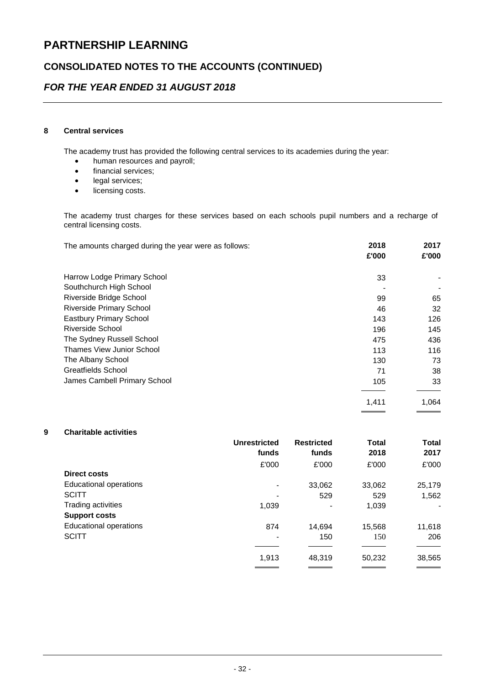## **CONSOLIDATED NOTES TO THE ACCOUNTS (CONTINUED)**

### *FOR THE YEAR ENDED 31 AUGUST 2018*

#### **8 Central services**

The academy trust has provided the following central services to its academies during the year:

- human resources and payroll;
- **•** financial services;
- legal services;
- licensing costs.

The academy trust charges for these services based on each schools pupil numbers and a recharge of central licensing costs.

| The amounts charged during the year were as follows: | 2018<br>£'000 | 2017<br>£'000 |
|------------------------------------------------------|---------------|---------------|
| Harrow Lodge Primary School                          | 33            |               |
| Southchurch High School                              |               |               |
| Riverside Bridge School                              | 99            | 65            |
| <b>Riverside Primary School</b>                      | 46            | 32            |
| <b>Eastbury Primary School</b>                       | 143           | 126           |
| Riverside School                                     | 196           | 145           |
| The Sydney Russell School                            | 475           | 436           |
| <b>Thames View Junior School</b>                     | 113           | 116           |
| The Albany School                                    | 130           | 73            |
| Greatfields School                                   | 71            | 38            |
| James Cambell Primary School                         | 105           | 33            |
|                                                      | 1,411         | 1,064         |

#### **9 Charitable activities**

|                               | <b>Unrestricted</b>      | <b>Restricted</b> | <b>Total</b> | <b>Total</b> |
|-------------------------------|--------------------------|-------------------|--------------|--------------|
|                               | funds                    | funds             | 2018         | 2017         |
|                               | £'000                    | £'000             | £'000        | £'000        |
| <b>Direct costs</b>           |                          |                   |              |              |
| Educational operations        | $\blacksquare$           | 33,062            | 33,062       | 25,179       |
| <b>SCITT</b>                  | $\blacksquare$           | 529               | 529          | 1,562        |
| Trading activities            | 1,039                    | $\qquad \qquad$   | 1,039        |              |
| <b>Support costs</b>          |                          |                   |              |              |
| <b>Educational operations</b> | 874                      | 14,694            | 15,568       | 11,618       |
| <b>SCITT</b>                  | $\overline{\phantom{a}}$ | 150               | 150          | 206          |
|                               |                          |                   |              |              |
|                               | 1,913                    | 48,319            | 50,232       | 38,565       |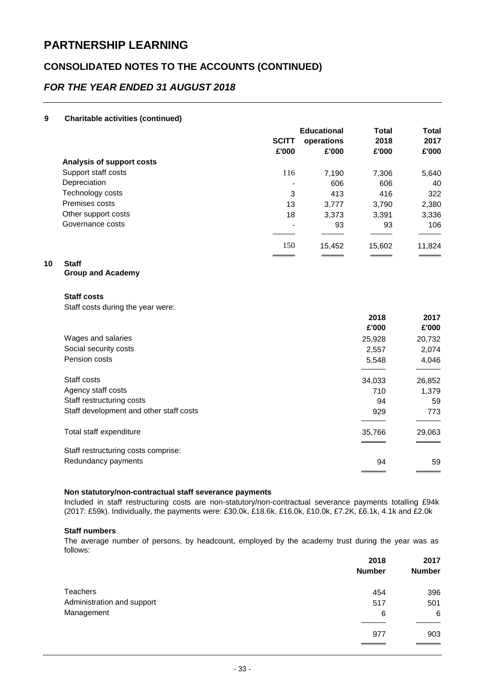### **CONSOLIDATED NOTES TO THE ACCOUNTS (CONTINUED)**

### *FOR THE YEAR ENDED 31 AUGUST 2018*

#### **9 Charitable activities (continued)**

|                           |              | <b>Educational</b> | Total  | <b>Total</b> |
|---------------------------|--------------|--------------------|--------|--------------|
|                           | <b>SCITT</b> | operations         | 2018   | 2017         |
|                           | £'000        | £'000              | £'000  | £'000        |
| Analysis of support costs |              |                    |        |              |
| Support staff costs       | 116          | 7,190              | 7,306  | 5,640        |
| Depreciation              | -            | 606                | 606    | 40           |
| Technology costs          | 3            | 413                | 416    | 322          |
| Premises costs            | 13           | 3.777              | 3,790  | 2,380        |
| Other support costs       | 18           | 3.373              | 3.391  | 3,336        |
| Governance costs          | -            | 93                 | 93     | 106          |
|                           | 150          | 15,452             | 15,602 | 11,824       |
|                           |              |                    |        |              |

### **10 Staff**

**Group and Academy**

#### **Staff costs**

Staff costs during the year were:

|                                         | 2018   | 2017   |
|-----------------------------------------|--------|--------|
|                                         | £'000  | £'000  |
| Wages and salaries                      | 25,928 | 20,732 |
| Social security costs                   | 2,557  | 2,074  |
| Pension costs                           | 5,548  | 4,046  |
|                                         |        |        |
| Staff costs                             | 34,033 | 26,852 |
| Agency staff costs                      | 710    | 1,379  |
| Staff restructuring costs               | 94     | 59     |
| Staff development and other staff costs | 929    | 773    |
| Total staff expenditure                 | 35,766 | 29,063 |
| Staff restructuring costs comprise:     |        |        |
| Redundancy payments                     | 94     | 59     |
|                                         |        |        |

#### **Non statutory/non-contractual staff severance payments**

Included in staff restructuring costs are non-statutory/non-contractual severance payments totalling £94k (2017: £59k). Individually, the payments were: £30.0k, £18.6k, £16.0k, £10.0k, £7.2K, £6.1k, 4.1k and £2.0k

#### **Staff numbers**

The average number of persons, by headcount, employed by the academy trust during the year was as follows:

|                            | 2018          | 2017          |
|----------------------------|---------------|---------------|
|                            | <b>Number</b> | <b>Number</b> |
| <b>Teachers</b>            | 454           | 396           |
| Administration and support | 517           | 501           |
| Management                 | 6             | 6             |
|                            | 977           | 903           |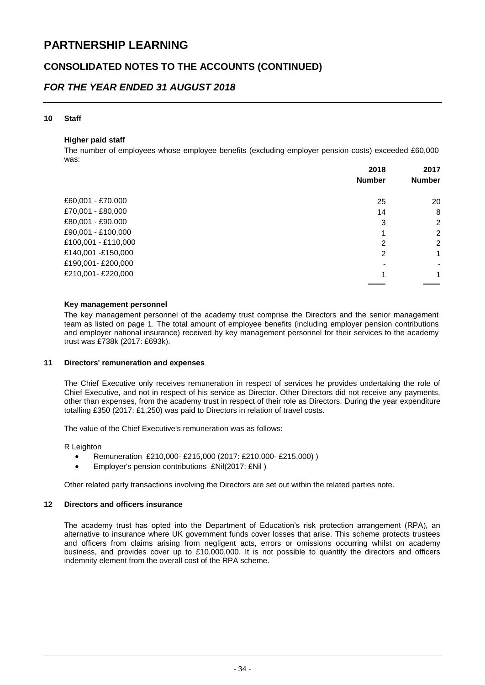### **CONSOLIDATED NOTES TO THE ACCOUNTS (CONTINUED)**

### *FOR THE YEAR ENDED 31 AUGUST 2018*

#### **10 Staff**

#### **Higher paid staff**

The number of employees whose employee benefits (excluding employer pension costs) exceeded £60,000 was:

|                     | 2018                     | 2017          |
|---------------------|--------------------------|---------------|
|                     | <b>Number</b>            | <b>Number</b> |
| £60,001 - £70,000   | 25                       | 20            |
| £70,001 - £80,000   | 14                       | 8             |
| £80,001 - £90,000   | 3                        | 2             |
| £90,001 - £100,000  |                          | 2             |
| £100,001 - £110,000 | 2                        | 2             |
| £140,001 -£150,000  | 2                        | 1             |
| £190,001-£200,000   | $\overline{\phantom{0}}$ |               |
| £210,001-£220,000   |                          | 1             |

#### **Key management personnel**

The key management personnel of the academy trust comprise the Directors and the senior management team as listed on page 1. The total amount of employee benefits (including employer pension contributions and employer national insurance) received by key management personnel for their services to the academy trust was £738k (2017: £693k).

#### **11 Directors' remuneration and expenses**

The Chief Executive only receives remuneration in respect of services he provides undertaking the role of Chief Executive, and not in respect of his service as Director. Other Directors did not receive any payments, other than expenses, from the academy trust in respect of their role as Directors. During the year expenditure totalling £350 (2017: £1,250) was paid to Directors in relation of travel costs.

The value of the Chief Executive's remuneration was as follows:

R Leighton

- Remuneration £210,000- £215,000 (2017: £210,000- £215,000) )
- Employer's pension contributions £Nil(2017: £Nil )

Other related party transactions involving the Directors are set out within the related parties note.

#### **12 Directors and officers insurance**

The academy trust has opted into the Department of Education's risk protection arrangement (RPA), an alternative to insurance where UK government funds cover losses that arise. This scheme protects trustees and officers from claims arising from negligent acts, errors or omissions occurring whilst on academy business, and provides cover up to £10,000,000. It is not possible to quantify the directors and officers indemnity element from the overall cost of the RPA scheme.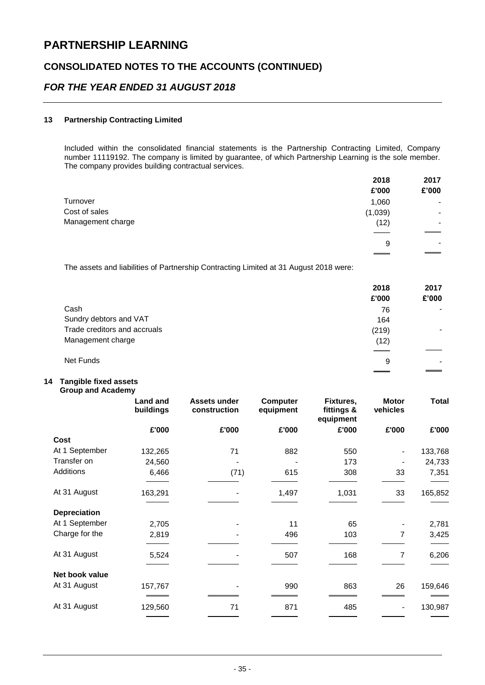### **CONSOLIDATED NOTES TO THE ACCOUNTS (CONTINUED)**

### *FOR THE YEAR ENDED 31 AUGUST 2018*

#### **13 Partnership Contracting Limited**

Included within the consolidated financial statements is the Partnership Contracting Limited, Company number 11119192. The company is limited by guarantee, of which Partnership Learning is the sole member. The company provides building contractual services.

|                   | 2018    | 2017           |
|-------------------|---------|----------------|
|                   | £'000   | £'000          |
| Turnover          | 1,060   | $\blacksquare$ |
| Cost of sales     | (1,039) | $\,$           |
| Management charge | (12)    | -              |
|                   |         |                |
|                   | 9       | $\blacksquare$ |
|                   |         |                |
|                   |         |                |

The assets and liabilities of Partnership Contracting Limited at 31 August 2018 were:

|                              | 2018  | 2017  |
|------------------------------|-------|-------|
|                              | £'000 | £'000 |
| Cash                         | 76    |       |
| Sundry debtors and VAT       | 164   |       |
| Trade creditors and accruals | (219) |       |
| Management charge            | (12)  |       |
|                              |       |       |
| Net Funds                    | 9     |       |
|                              |       |       |

#### **14 Tangible fixed assets Group and Academy**

|                     | <b>Land and</b><br>buildings | Assets under<br>construction | <b>Computer</b><br>equipment | Fixtures,<br>fittings &<br>equipment | <b>Motor</b><br>vehicles | <b>Total</b> |
|---------------------|------------------------------|------------------------------|------------------------------|--------------------------------------|--------------------------|--------------|
|                     | £'000                        | £'000                        | £'000                        | £'000                                | £'000                    | £'000        |
| Cost                |                              |                              |                              |                                      |                          |              |
| At 1 September      | 132,265                      | 71                           | 882                          | 550                                  |                          | 133,768      |
| Transfer on         | 24,560                       |                              |                              | 173                                  |                          | 24,733       |
| Additions           | 6,466                        | (71)                         | 615                          | 308                                  | 33                       | 7,351        |
| At 31 August        | 163,291                      |                              | 1,497                        | 1,031                                | 33                       | 165,852      |
| <b>Depreciation</b> |                              |                              |                              |                                      |                          |              |
| At 1 September      | 2,705                        |                              | 11                           | 65                                   |                          | 2,781        |
| Charge for the      | 2,819                        |                              | 496                          | 103                                  | 7                        | 3,425        |
| At 31 August        | 5,524                        |                              | 507                          | 168                                  | 7                        | 6,206        |
| Net book value      |                              |                              |                              |                                      |                          |              |
| At 31 August        | 157,767                      |                              | 990                          | 863                                  | 26                       | 159,646      |
| At 31 August        | 129,560                      | 71                           | 871                          | 485                                  | $\blacksquare$           | 130,987      |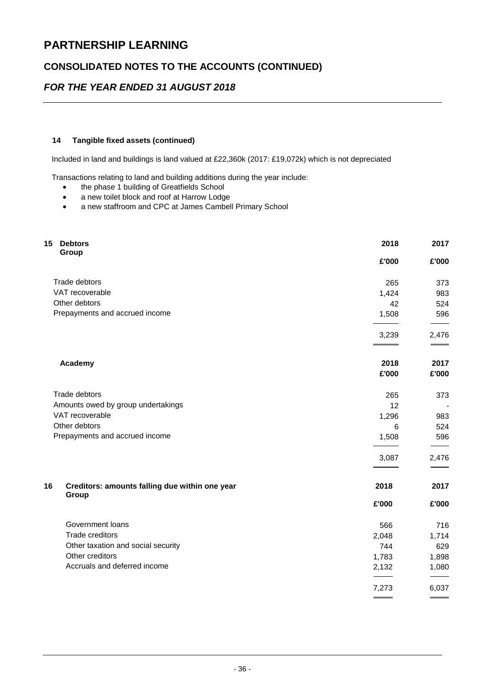# **CONSOLIDATED NOTES TO THE ACCOUNTS (CONTINUED)**

# *FOR THE YEAR ENDED 31 AUGUST 2018*

### **14 Tangible fixed assets (continued)**

Included in land and buildings is land valued at £22,360k (2017: £19,072k) which is not depreciated

Transactions relating to land and building additions during the year include:

- the phase 1 building of Greatfields School
- a new toilet block and roof at Harrow Lodge
- a new staffroom and CPC at James Cambell Primary School

| 15<br><b>Debtors</b>                                          | 2018  | 2017  |
|---------------------------------------------------------------|-------|-------|
| Group                                                         | £'000 | £'000 |
| Trade debtors                                                 | 265   | 373   |
| VAT recoverable                                               | 1,424 | 983   |
| Other debtors                                                 | 42    | 524   |
| Prepayments and accrued income                                | 1,508 | 596   |
|                                                               | 3,239 | 2,476 |
| Academy                                                       | 2018  | 2017  |
|                                                               | £'000 | £'000 |
| Trade debtors                                                 | 265   | 373   |
| Amounts owed by group undertakings                            | 12    |       |
| VAT recoverable                                               | 1,296 | 983   |
| Other debtors                                                 | 6     | 524   |
| Prepayments and accrued income                                | 1,508 | 596   |
|                                                               | 3,087 | 2,476 |
| 16<br>Creditors: amounts falling due within one year<br>Group | 2018  | 2017  |
|                                                               | £'000 | £'000 |
| Government loans                                              | 566   | 716   |
| Trade creditors                                               | 2,048 | 1,714 |
| Other taxation and social security                            | 744   | 629   |
| Other creditors                                               | 1,783 | 1,898 |
| Accruals and deferred income                                  | 2,132 | 1,080 |
|                                                               | 7,273 | 6,037 |
|                                                               |       |       |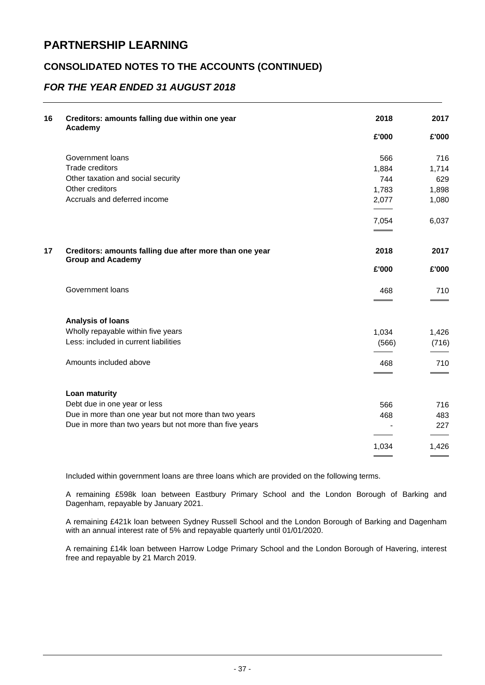### **CONSOLIDATED NOTES TO THE ACCOUNTS (CONTINUED)**

### *FOR THE YEAR ENDED 31 AUGUST 2018*

| £'000 | £'000                                                                                                                  |
|-------|------------------------------------------------------------------------------------------------------------------------|
|       |                                                                                                                        |
|       | 716                                                                                                                    |
|       | 1,714                                                                                                                  |
|       | 629                                                                                                                    |
|       | 1,898                                                                                                                  |
|       | 1,080                                                                                                                  |
|       | 6,037                                                                                                                  |
|       |                                                                                                                        |
|       | 2017                                                                                                                   |
|       | £'000                                                                                                                  |
|       | 710                                                                                                                    |
|       |                                                                                                                        |
|       | 1,426                                                                                                                  |
|       | (716)                                                                                                                  |
|       | 710                                                                                                                    |
|       |                                                                                                                        |
|       | 716                                                                                                                    |
|       | 483                                                                                                                    |
|       | 227                                                                                                                    |
|       | 1,426                                                                                                                  |
|       | 566<br>1,884<br>744<br>1,783<br>2,077<br>7,054<br>2018<br>£'000<br>468<br>1,034<br>(566)<br>468<br>566<br>468<br>1,034 |

Included within government loans are three loans which are provided on the following terms.

A remaining £598k loan between Eastbury Primary School and the London Borough of Barking and Dagenham, repayable by January 2021.

A remaining £421k loan between Sydney Russell School and the London Borough of Barking and Dagenham with an annual interest rate of 5% and repayable quarterly until 01/01/2020.

A remaining £14k loan between Harrow Lodge Primary School and the London Borough of Havering, interest free and repayable by 21 March 2019.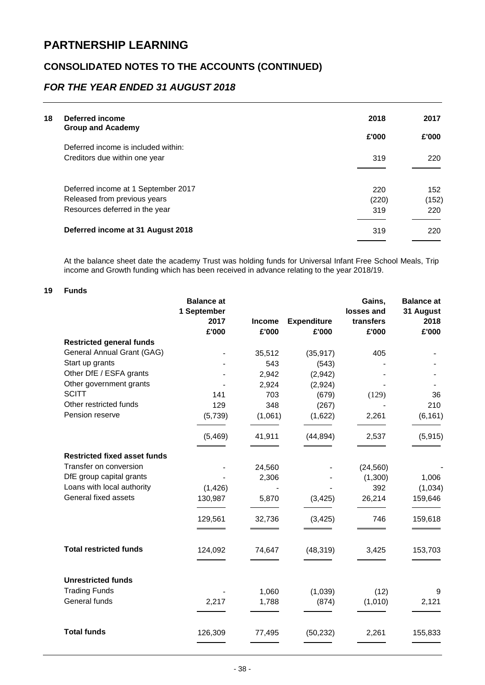# **CONSOLIDATED NOTES TO THE ACCOUNTS (CONTINUED)**

### *FOR THE YEAR ENDED 31 AUGUST 2018*

| 18 | Deferred income<br><b>Group and Academy</b> | 2018  | 2017  |
|----|---------------------------------------------|-------|-------|
|    |                                             | £'000 | £'000 |
|    | Deferred income is included within:         |       |       |
|    | Creditors due within one year               | 319   | 220   |
|    |                                             |       |       |
|    | Deferred income at 1 September 2017         | 220   | 152   |
|    | Released from previous years                | (220) | (152) |
|    | Resources deferred in the year              | 319   | 220   |
|    | Deferred income at 31 August 2018           | 319   | 220   |

At the balance sheet date the academy Trust was holding funds for Universal Infant Free School Meals, Trip income and Growth funding which has been received in advance relating to the year 2018/19.

#### **19 Funds**

|                                     | <b>Balance at</b> |               |                    | Gains,     | <b>Balance at</b> |
|-------------------------------------|-------------------|---------------|--------------------|------------|-------------------|
|                                     | 1 September       |               |                    | losses and | 31 August         |
|                                     | 2017              | <b>Income</b> | <b>Expenditure</b> | transfers  | 2018              |
|                                     | £'000             | £'000         | £'000              | £'000      | £'000             |
| <b>Restricted general funds</b>     |                   |               |                    |            |                   |
| General Annual Grant (GAG)          |                   | 35,512        | (35, 917)          | 405        |                   |
| Start up grants                     |                   | 543           | (543)              |            |                   |
| Other DfE / ESFA grants             |                   | 2,942         | (2,942)            |            |                   |
| Other government grants             |                   | 2,924         | (2,924)            |            |                   |
| <b>SCITT</b>                        | 141               | 703           | (679)              | (129)      | 36                |
| Other restricted funds              | 129               | 348           | (267)              |            | 210               |
| Pension reserve                     | (5,739)           | (1,061)       | (1,622)            | 2,261      | (6, 161)          |
|                                     | (5,469)           | 41,911        | (44, 894)          | 2,537      | (5, 915)          |
| <b>Restricted fixed asset funds</b> |                   |               |                    |            |                   |
| Transfer on conversion              |                   | 24,560        |                    | (24, 560)  |                   |
| DfE group capital grants            |                   | 2,306         |                    | (1,300)    | 1,006             |
| Loans with local authority          | (1, 426)          |               |                    | 392        | (1,034)           |
| General fixed assets                | 130,987           | 5,870         | (3, 425)           | 26,214     | 159,646           |
|                                     | 129,561           | 32,736        | (3, 425)           | 746        | 159,618           |
| <b>Total restricted funds</b>       | 124,092           | 74,647        | (48, 319)          | 3,425      | 153,703           |
| <b>Unrestricted funds</b>           |                   |               |                    |            |                   |
| <b>Trading Funds</b>                |                   | 1,060         | (1,039)            | (12)       | 9                 |
| General funds                       | 2,217             | 1,788         | (874)              | (1,010)    | 2,121             |
|                                     |                   |               |                    |            |                   |
| <b>Total funds</b>                  | 126,309           | 77,495        | (50, 232)          | 2,261      | 155,833           |
|                                     |                   |               |                    |            |                   |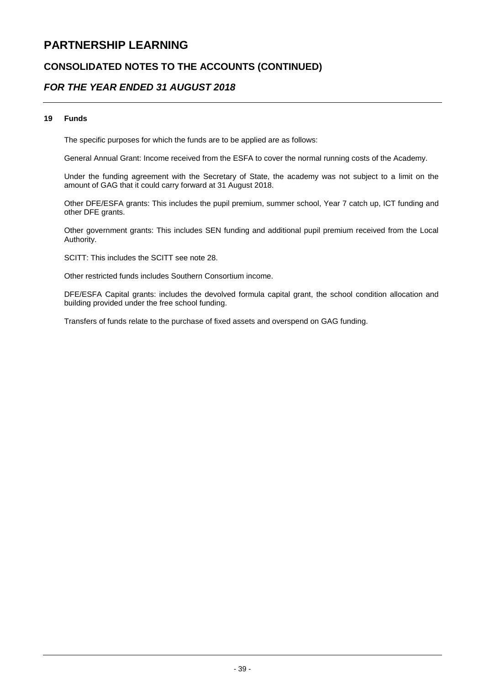### **CONSOLIDATED NOTES TO THE ACCOUNTS (CONTINUED)**

### *FOR THE YEAR ENDED 31 AUGUST 2018*

#### **19 Funds**

The specific purposes for which the funds are to be applied are as follows:

General Annual Grant: Income received from the ESFA to cover the normal running costs of the Academy.

Under the funding agreement with the Secretary of State, the academy was not subject to a limit on the amount of GAG that it could carry forward at 31 August 2018.

Other DFE/ESFA grants: This includes the pupil premium, summer school, Year 7 catch up, ICT funding and other DFE grants.

Other government grants: This includes SEN funding and additional pupil premium received from the Local Authority.

SCITT: This includes the SCITT see note 28.

Other restricted funds includes Southern Consortium income.

DFE/ESFA Capital grants: includes the devolved formula capital grant, the school condition allocation and building provided under the free school funding.

Transfers of funds relate to the purchase of fixed assets and overspend on GAG funding.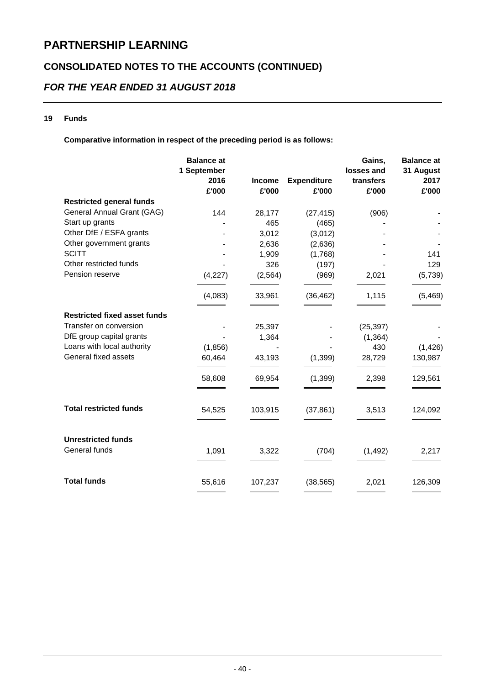# **CONSOLIDATED NOTES TO THE ACCOUNTS (CONTINUED)**

# *FOR THE YEAR ENDED 31 AUGUST 2018*

#### **19 Funds**

**Comparative information in respect of the preceding period is as follows:**

|                                     | <b>Balance at</b><br>1 September<br>2016<br>£'000 | <b>Income</b><br>£'000 | <b>Expenditure</b><br>£'000 | Gains,<br>losses and<br>transfers<br>£'000 | <b>Balance at</b><br>31 August<br>2017<br>£'000 |
|-------------------------------------|---------------------------------------------------|------------------------|-----------------------------|--------------------------------------------|-------------------------------------------------|
| <b>Restricted general funds</b>     |                                                   |                        |                             |                                            |                                                 |
| General Annual Grant (GAG)          | 144                                               | 28,177                 | (27, 415)                   | (906)                                      |                                                 |
| Start up grants                     |                                                   | 465                    | (465)                       |                                            |                                                 |
| Other DfE / ESFA grants             |                                                   | 3,012                  | (3,012)                     |                                            |                                                 |
| Other government grants             |                                                   | 2,636                  | (2,636)                     |                                            |                                                 |
| <b>SCITT</b>                        |                                                   | 1,909                  | (1,768)                     |                                            | 141                                             |
| Other restricted funds              |                                                   | 326                    | (197)                       |                                            | 129                                             |
| Pension reserve                     | (4,227)                                           | (2, 564)               | (969)                       | 2,021                                      | (5,739)                                         |
|                                     | (4,083)                                           | 33,961                 | (36, 462)                   | 1,115                                      | (5, 469)                                        |
| <b>Restricted fixed asset funds</b> |                                                   |                        |                             |                                            |                                                 |
| Transfer on conversion              |                                                   | 25,397                 |                             | (25, 397)                                  |                                                 |
| DfE group capital grants            |                                                   | 1,364                  |                             | (1, 364)                                   |                                                 |
| Loans with local authority          | (1,856)                                           |                        |                             | 430                                        | (1, 426)                                        |
| General fixed assets                | 60,464                                            | 43,193                 | (1, 399)                    | 28,729                                     | 130,987                                         |
|                                     | 58,608                                            | 69,954                 | (1, 399)                    | 2,398                                      | 129,561                                         |
| <b>Total restricted funds</b>       | 54,525                                            | 103,915                | (37, 861)                   | 3,513                                      | 124,092                                         |
| <b>Unrestricted funds</b>           |                                                   |                        |                             |                                            |                                                 |
| General funds                       | 1,091                                             | 3,322                  | (704)                       | (1, 492)                                   | 2,217                                           |
| <b>Total funds</b>                  | 55,616                                            | 107,237                | (38, 565)                   | 2,021                                      | 126,309                                         |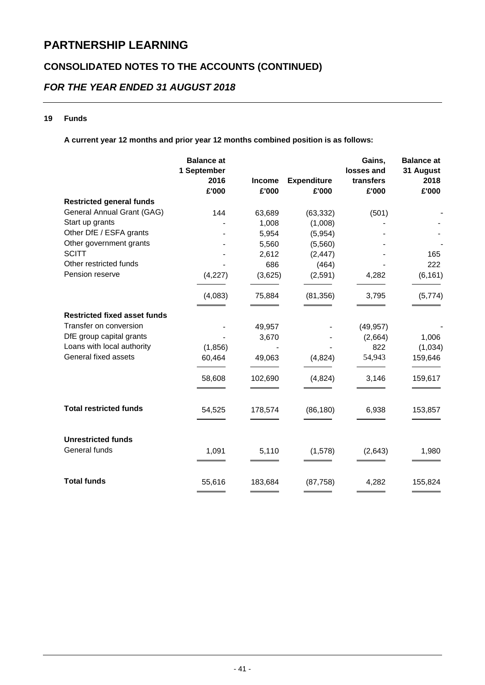# **CONSOLIDATED NOTES TO THE ACCOUNTS (CONTINUED)**

# *FOR THE YEAR ENDED 31 AUGUST 2018*

#### **19 Funds**

**A current year 12 months and prior year 12 months combined position is as follows:**

|                                     | <b>Balance at</b><br>1 September<br>2016 | <b>Income</b> | <b>Expenditure</b> | Gains,<br>losses and<br>transfers | <b>Balance at</b><br>31 August<br>2018 |
|-------------------------------------|------------------------------------------|---------------|--------------------|-----------------------------------|----------------------------------------|
|                                     | £'000                                    | £'000         | £'000              | £'000                             | £'000                                  |
| <b>Restricted general funds</b>     |                                          |               |                    |                                   |                                        |
| General Annual Grant (GAG)          | 144                                      | 63,689        | (63, 332)          | (501)                             |                                        |
| Start up grants                     |                                          | 1,008         | (1,008)            |                                   |                                        |
| Other DfE / ESFA grants             |                                          | 5,954         | (5,954)            |                                   |                                        |
| Other government grants             |                                          | 5,560         | (5,560)            |                                   |                                        |
| <b>SCITT</b>                        |                                          | 2,612         | (2, 447)           |                                   | 165                                    |
| Other restricted funds              |                                          | 686           | (464)              |                                   | 222                                    |
| Pension reserve                     | (4,227)                                  | (3,625)       | (2,591)            | 4,282                             | (6, 161)                               |
|                                     | (4,083)                                  | 75,884        | (81, 356)          | 3,795                             | (5,774)                                |
| <b>Restricted fixed asset funds</b> |                                          |               |                    |                                   |                                        |
| Transfer on conversion              |                                          | 49,957        |                    | (49, 957)                         |                                        |
| DfE group capital grants            |                                          | 3,670         |                    | (2,664)                           | 1,006                                  |
| Loans with local authority          | (1,856)                                  |               |                    | 822                               | (1,034)                                |
| General fixed assets                | 60,464                                   | 49,063        | (4, 824)           | 54,943                            | 159,646                                |
|                                     | 58,608                                   | 102,690       | (4,824)            | 3,146                             | 159,617                                |
| <b>Total restricted funds</b>       | 54,525                                   | 178,574       | (86, 180)          | 6,938                             | 153,857                                |
| <b>Unrestricted funds</b>           |                                          |               |                    |                                   |                                        |
| General funds                       | 1,091                                    | 5,110         | (1,578)            | (2,643)                           | 1,980                                  |
| <b>Total funds</b>                  | 55,616                                   | 183,684       | (87, 758)          | 4,282                             | 155,824                                |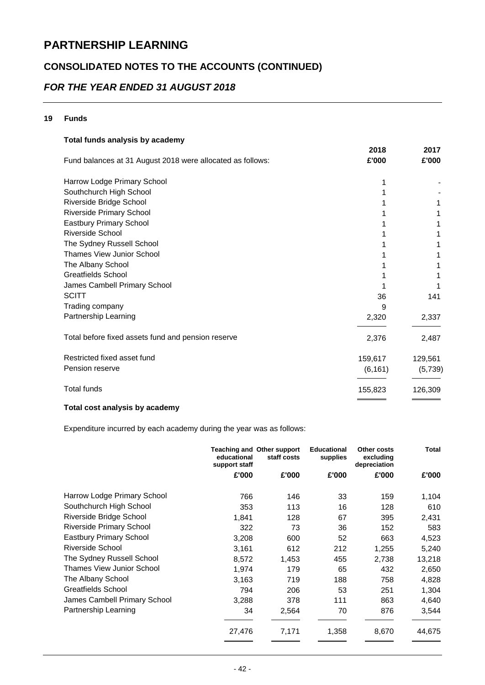# **CONSOLIDATED NOTES TO THE ACCOUNTS (CONTINUED)**

# *FOR THE YEAR ENDED 31 AUGUST 2018*

#### **19 Funds**

| Total funds analysis by academy                            |          |         |
|------------------------------------------------------------|----------|---------|
|                                                            | 2018     | 2017    |
| Fund balances at 31 August 2018 were allocated as follows: | £'000    | £'000   |
| Harrow Lodge Primary School                                |          |         |
| Southchurch High School                                    |          |         |
| Riverside Bridge School                                    |          |         |
| Riverside Primary School                                   |          |         |
| Eastbury Primary School                                    |          |         |
| Riverside School                                           |          |         |
| The Sydney Russell School                                  |          |         |
| <b>Thames View Junior School</b>                           |          |         |
| The Albany School                                          |          |         |
| <b>Greatfields School</b>                                  |          |         |
| James Cambell Primary School                               |          |         |
| <b>SCITT</b>                                               | 36       | 141     |
| Trading company                                            | 9        |         |
| Partnership Learning                                       | 2,320    | 2,337   |
| Total before fixed assets fund and pension reserve         | 2,376    | 2,487   |
| Restricted fixed asset fund                                | 159,617  | 129,561 |
| Pension reserve                                            | (6, 161) | (5,739) |
| <b>Total funds</b>                                         | 155,823  | 126,309 |
|                                                            |          |         |

# **Total cost analysis by academy**

Expenditure incurred by each academy during the year was as follows:

|                                 | educational<br>support staff | <b>Teaching and Other support</b><br>staff costs | <b>Educational</b><br>supplies | Other costs<br>excluding<br>depreciation | Total  |
|---------------------------------|------------------------------|--------------------------------------------------|--------------------------------|------------------------------------------|--------|
|                                 | £'000                        | £'000                                            | £'000                          | £'000                                    | £'000  |
| Harrow Lodge Primary School     | 766                          | 146                                              | 33                             | 159                                      | 1,104  |
| Southchurch High School         | 353                          | 113                                              | 16                             | 128                                      | 610    |
| Riverside Bridge School         | 1,841                        | 128                                              | 67                             | 395                                      | 2,431  |
| <b>Riverside Primary School</b> | 322                          | 73                                               | 36                             | 152                                      | 583    |
| <b>Eastbury Primary School</b>  | 3,208                        | 600                                              | 52                             | 663                                      | 4,523  |
| Riverside School                | 3,161                        | 612                                              | 212                            | 1,255                                    | 5,240  |
| The Sydney Russell School       | 8,572                        | 1,453                                            | 455                            | 2,738                                    | 13,218 |
| Thames View Junior School       | 1,974                        | 179                                              | 65                             | 432                                      | 2,650  |
| The Albany School               | 3,163                        | 719                                              | 188                            | 758                                      | 4,828  |
| Greatfields School              | 794                          | 206                                              | 53                             | 251                                      | 1,304  |
| James Cambell Primary School    | 3,288                        | 378                                              | 111                            | 863                                      | 4,640  |
| Partnership Learning            | 34                           | 2,564                                            | 70                             | 876                                      | 3,544  |
|                                 | 27,476                       | 7,171                                            | 1,358                          | 8,670                                    | 44,675 |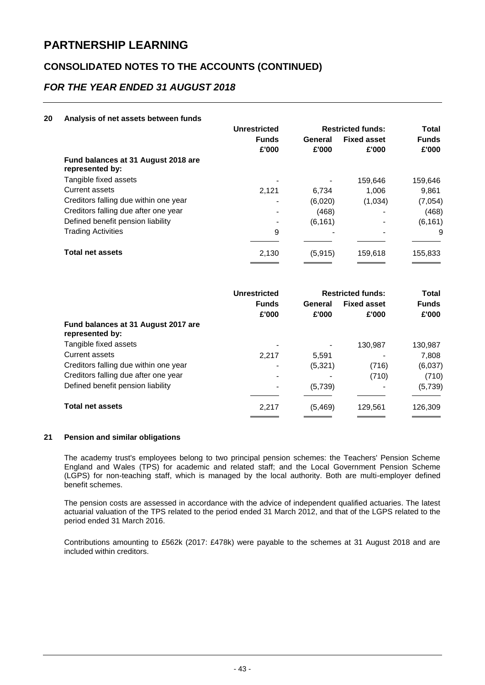## **CONSOLIDATED NOTES TO THE ACCOUNTS (CONTINUED)**

### *FOR THE YEAR ENDED 31 AUGUST 2018*

#### **20 Analysis of net assets between funds**

|                                                        | <b>Unrestricted</b> | <b>Restricted funds:</b> |                    | <b>Total</b> |
|--------------------------------------------------------|---------------------|--------------------------|--------------------|--------------|
|                                                        | <b>Funds</b>        | General                  | <b>Fixed asset</b> | <b>Funds</b> |
|                                                        | £'000               | £'000                    | £'000              | £'000        |
| Fund balances at 31 August 2018 are<br>represented by: |                     |                          |                    |              |
| Tangible fixed assets                                  |                     |                          | 159,646            | 159,646      |
| Current assets                                         | 2.121               | 6.734                    | 1.006              | 9.861        |
| Creditors falling due within one year                  |                     | (6,020)                  | (1,034)            | (7,054)      |
| Creditors falling due after one year                   |                     | (468)                    |                    | (468)        |
| Defined benefit pension liability                      |                     | (6, 161)                 |                    | (6, 161)     |
| <b>Trading Activities</b>                              | 9                   |                          |                    | 9            |
| <b>Total net assets</b>                                | 2,130               | (5,915)                  | 159,618            | 155,833      |

|                                                        | <b>Unrestricted</b>      | <b>Restricted funds:</b> |                    | <b>Total</b> |  |
|--------------------------------------------------------|--------------------------|--------------------------|--------------------|--------------|--|
|                                                        | <b>Funds</b>             | General                  | <b>Fixed asset</b> | <b>Funds</b> |  |
|                                                        | £'000                    | £'000                    | £'000              | £'000        |  |
| Fund balances at 31 August 2017 are<br>represented by: |                          |                          |                    |              |  |
| Tangible fixed assets                                  |                          |                          | 130,987            | 130,987      |  |
| Current assets                                         | 2,217                    | 5,591                    |                    | 7,808        |  |
| Creditors falling due within one year                  |                          | (5,321)                  | (716)              | (6,037)      |  |
| Creditors falling due after one year                   | $\overline{\phantom{a}}$ |                          | (710)              | (710)        |  |
| Defined benefit pension liability                      | $\overline{\phantom{a}}$ | (5,739)                  |                    | (5,739)      |  |
| <b>Total net assets</b>                                | 2,217                    | (5, 469)                 | 129,561            | 126,309      |  |

#### **21 Pension and similar obligations**

The academy trust's employees belong to two principal pension schemes: the Teachers' Pension Scheme England and Wales (TPS) for academic and related staff; and the Local Government Pension Scheme (LGPS) for non-teaching staff, which is managed by the local authority. Both are multi-employer defined benefit schemes.

The pension costs are assessed in accordance with the advice of independent qualified actuaries. The latest actuarial valuation of the TPS related to the period ended 31 March 2012, and that of the LGPS related to the period ended 31 March 2016.

Contributions amounting to £562k (2017: £478k) were payable to the schemes at 31 August 2018 and are included within creditors.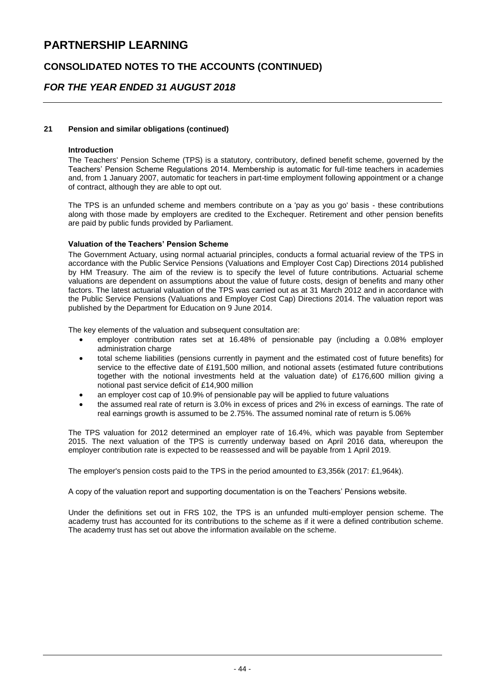### **CONSOLIDATED NOTES TO THE ACCOUNTS (CONTINUED)**

### *FOR THE YEAR ENDED 31 AUGUST 2018*

#### **21 Pension and similar obligations (continued)**

#### **Introduction**

The Teachers' Pension Scheme (TPS) is a statutory, contributory, defined benefit scheme, governed by the Teachers' Pension Scheme Regulations 2014. Membership is automatic for full-time teachers in academies and, from 1 January 2007, automatic for teachers in part-time employment following appointment or a change of contract, although they are able to opt out.

The TPS is an unfunded scheme and members contribute on a 'pay as you go' basis - these contributions along with those made by employers are credited to the Exchequer. Retirement and other pension benefits are paid by public funds provided by Parliament.

#### **Valuation of the Teachers' Pension Scheme**

The Government Actuary, using normal actuarial principles, conducts a formal actuarial review of the TPS in accordance with the Public Service Pensions (Valuations and Employer Cost Cap) Directions 2014 published by HM Treasury. The aim of the review is to specify the level of future contributions. Actuarial scheme valuations are dependent on assumptions about the value of future costs, design of benefits and many other factors. The latest actuarial valuation of the TPS was carried out as at 31 March 2012 and in accordance with the Public Service Pensions (Valuations and Employer Cost Cap) Directions 2014. The valuation report was published by the Department for Education on 9 June 2014.

The key elements of the valuation and subsequent consultation are:

- employer contribution rates set at 16.48% of pensionable pay (including a 0.08% employer administration charge
- total scheme liabilities (pensions currently in payment and the estimated cost of future benefits) for service to the effective date of £191,500 million, and notional assets (estimated future contributions together with the notional investments held at the valuation date) of £176,600 million giving a notional past service deficit of £14,900 million
- an employer cost cap of 10.9% of pensionable pay will be applied to future valuations
- the assumed real rate of return is 3.0% in excess of prices and 2% in excess of earnings. The rate of real earnings growth is assumed to be 2.75%. The assumed nominal rate of return is 5.06%

The TPS valuation for 2012 determined an employer rate of 16.4%, which was payable from September 2015. The next valuation of the TPS is currently underway based on April 2016 data, whereupon the employer contribution rate is expected to be reassessed and will be payable from 1 April 2019.

The employer's pension costs paid to the TPS in the period amounted to £3,356k (2017: £1,964k).

A copy of the valuation report and supporting documentation is on the Teachers' Pensions website.

Under the definitions set out in FRS 102, the TPS is an unfunded multi-employer pension scheme. The academy trust has accounted for its contributions to the scheme as if it were a defined contribution scheme. The academy trust has set out above the information available on the scheme.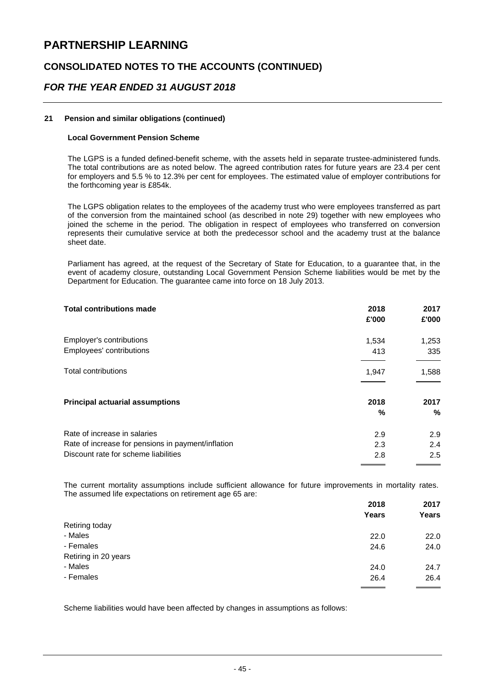### **CONSOLIDATED NOTES TO THE ACCOUNTS (CONTINUED)**

### *FOR THE YEAR ENDED 31 AUGUST 2018*

#### **21 Pension and similar obligations (continued)**

#### **Local Government Pension Scheme**

The LGPS is a funded defined-benefit scheme, with the assets held in separate trustee-administered funds. The total contributions are as noted below. The agreed contribution rates for future years are 23.4 per cent for employers and 5.5 % to 12.3% per cent for employees. The estimated value of employer contributions for the forthcoming year is £854k.

The LGPS obligation relates to the employees of the academy trust who were employees transferred as part of the conversion from the maintained school (as described in note 29) together with new employees who joined the scheme in the period. The obligation in respect of employees who transferred on conversion represents their cumulative service at both the predecessor school and the academy trust at the balance sheet date.

Parliament has agreed, at the request of the Secretary of State for Education, to a guarantee that, in the event of academy closure, outstanding Local Government Pension Scheme liabilities would be met by the Department for Education. The guarantee came into force on 18 July 2013.

| <b>Total contributions made</b>                    | 2018<br>£'000 | 2017<br>£'000 |
|----------------------------------------------------|---------------|---------------|
| Employer's contributions                           | 1,534         | 1,253         |
| Employees' contributions                           | 413           | 335           |
| Total contributions                                | 1,947         | 1,588         |
| <b>Principal actuarial assumptions</b>             | 2018          | 2017          |
|                                                    | %             | %             |
| Rate of increase in salaries                       | 2.9           | 2.9           |
| Rate of increase for pensions in payment/inflation | 2.3           | 2.4           |
| Discount rate for scheme liabilities               | 2.8           | 2.5           |

The current mortality assumptions include sufficient allowance for future improvements in mortality rates. The assumed life expectations on retirement age 65 are:

|                      | 2018  | 2017  |
|----------------------|-------|-------|
|                      | Years | Years |
| Retiring today       |       |       |
| - Males              | 22.0  | 22.0  |
| - Females            | 24.6  | 24.0  |
| Retiring in 20 years |       |       |
| - Males              | 24.0  | 24.7  |
| - Females            | 26.4  | 26.4  |
|                      |       |       |

Scheme liabilities would have been affected by changes in assumptions as follows: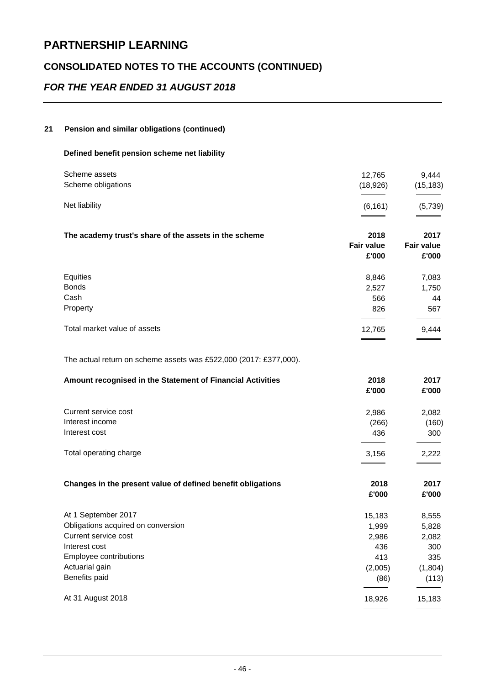# **CONSOLIDATED NOTES TO THE ACCOUNTS (CONTINUED)**

# *FOR THE YEAR ENDED 31 AUGUST 2018*

#### **21 Pension and similar obligations (continued)**

#### **Defined benefit pension scheme net liability**

| Scheme assets<br>Scheme obligations                               | 12,765<br>(18, 926)        | 9,444<br>(15, 183)         |
|-------------------------------------------------------------------|----------------------------|----------------------------|
| Net liability                                                     | (6, 161)                   | (5,739)                    |
| The academy trust's share of the assets in the scheme             | 2018                       | 2017                       |
|                                                                   | <b>Fair value</b><br>£'000 | <b>Fair value</b><br>£'000 |
| Equities                                                          | 8,846                      | 7,083                      |
| <b>Bonds</b>                                                      | 2,527                      | 1,750                      |
| Cash                                                              | 566                        | 44                         |
| Property                                                          | 826                        | 567                        |
| Total market value of assets                                      | 12,765                     | 9,444                      |
| The actual return on scheme assets was £522,000 (2017: £377,000). |                            |                            |
| Amount recognised in the Statement of Financial Activities        | 2018<br>£'000              | 2017<br>£'000              |
|                                                                   |                            |                            |
| Current service cost                                              | 2,986                      | 2,082                      |
| Interest income<br>Interest cost                                  | (266)<br>436               | (160)<br>300               |
| Total operating charge                                            | 3,156                      | 2,222                      |
| Changes in the present value of defined benefit obligations       | 2018                       | 2017                       |
|                                                                   | £'000                      | £'000                      |
| At 1 September 2017                                               | 15,183                     | 8,555                      |
| Obligations acquired on conversion                                | 1,999                      | 5,828                      |
| Current service cost                                              | 2,986                      | 2,082                      |
| Interest cost                                                     | 436                        | 300                        |
| Employee contributions                                            | 413                        | 335                        |
| Actuarial gain                                                    | (2,005)                    | (1,804)                    |
| Benefits paid                                                     | (86)                       | (113)                      |
| At 31 August 2018                                                 | 18,926                     | 15,183                     |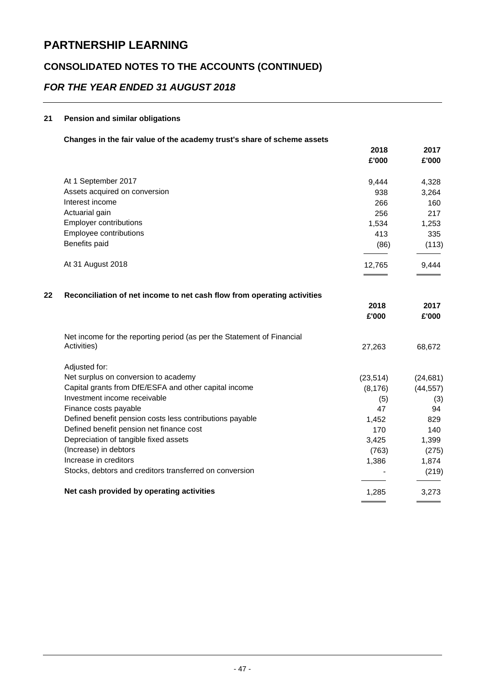# **CONSOLIDATED NOTES TO THE ACCOUNTS (CONTINUED)**

# *FOR THE YEAR ENDED 31 AUGUST 2018*

#### **21 Pension and similar obligations**

#### **Changes in the fair value of the academy trust's share of scheme assets**

|    |                                                                         | 2018<br>£'000 | 2017<br>£'000 |
|----|-------------------------------------------------------------------------|---------------|---------------|
|    |                                                                         |               |               |
|    | At 1 September 2017                                                     | 9,444         | 4,328         |
|    | Assets acquired on conversion                                           | 938           | 3,264         |
|    | Interest income                                                         | 266           | 160           |
|    | Actuarial gain                                                          | 256           | 217           |
|    | <b>Employer contributions</b>                                           | 1,534         | 1,253         |
|    | Employee contributions                                                  | 413           | 335           |
|    | Benefits paid                                                           | (86)          | (113)         |
|    | At 31 August 2018                                                       | 12,765        | 9,444         |
|    |                                                                         |               |               |
| 22 | Reconciliation of net income to net cash flow from operating activities |               |               |
|    |                                                                         | 2018          | 2017          |
|    |                                                                         | £'000         | £'000         |
|    | Net income for the reporting period (as per the Statement of Financial  |               |               |
|    | Activities)                                                             | 27,263        | 68,672        |
|    | Adjusted for:                                                           |               |               |
|    | Net surplus on conversion to academy                                    | (23, 514)     | (24, 681)     |
|    | Capital grants from DfE/ESFA and other capital income                   | (8, 176)      | (44, 557)     |
|    | Investment income receivable                                            | (5)           | (3)           |
|    | Finance costs payable                                                   | 47            | 94            |
|    | Defined benefit pension costs less contributions payable                | 1,452         | 829           |
|    | Defined benefit pension net finance cost                                | 170           | 140           |
|    | Depreciation of tangible fixed assets                                   | 3,425         | 1,399         |
|    | (Increase) in debtors                                                   | (763)         | (275)         |
|    | Increase in creditors                                                   | 1,386         | 1,874         |
|    | Stocks, debtors and creditors transferred on conversion                 |               | (219)         |
|    | Net cash provided by operating activities                               | 1,285         | 3,273         |
|    |                                                                         |               |               |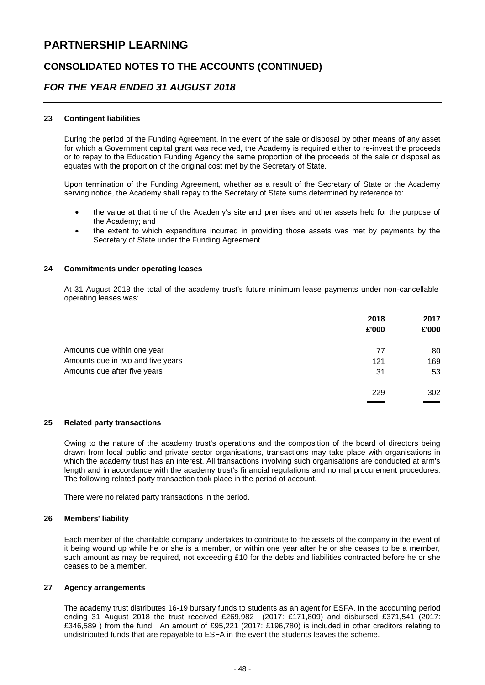### **CONSOLIDATED NOTES TO THE ACCOUNTS (CONTINUED)**

### *FOR THE YEAR ENDED 31 AUGUST 2018*

#### **23 Contingent liabilities**

During the period of the Funding Agreement, in the event of the sale or disposal by other means of any asset for which a Government capital grant was received, the Academy is required either to re-invest the proceeds or to repay to the Education Funding Agency the same proportion of the proceeds of the sale or disposal as equates with the proportion of the original cost met by the Secretary of State.

Upon termination of the Funding Agreement, whether as a result of the Secretary of State or the Academy serving notice, the Academy shall repay to the Secretary of State sums determined by reference to:

- the value at that time of the Academy's site and premises and other assets held for the purpose of the Academy; and
- the extent to which expenditure incurred in providing those assets was met by payments by the Secretary of State under the Funding Agreement.

#### **24 Commitments under operating leases**

At 31 August 2018 the total of the academy trust's future minimum lease payments under non-cancellable operating leases was:

|                                   | 2018<br>£'000 | 2017<br>£'000 |
|-----------------------------------|---------------|---------------|
| Amounts due within one year       | 77            | 80            |
| Amounts due in two and five years | 121           | 169           |
| Amounts due after five years      | 31            | 53            |
|                                   | 229           | 302           |
|                                   |               |               |

#### **25 Related party transactions**

Owing to the nature of the academy trust's operations and the composition of the board of directors being drawn from local public and private sector organisations, transactions may take place with organisations in which the academy trust has an interest. All transactions involving such organisations are conducted at arm's length and in accordance with the academy trust's financial regulations and normal procurement procedures. The following related party transaction took place in the period of account.

There were no related party transactions in the period.

#### **26 Members' liability**

Each member of the charitable company undertakes to contribute to the assets of the company in the event of it being wound up while he or she is a member, or within one year after he or she ceases to be a member, such amount as may be required, not exceeding £10 for the debts and liabilities contracted before he or she ceases to be a member.

#### **27 Agency arrangements**

The academy trust distributes 16-19 bursary funds to students as an agent for ESFA. In the accounting period ending 31 August 2018 the trust received £269,982 (2017: £171,809) and disbursed £371,541 (2017: £346,589 ) from the fund. An amount of £95,221 (2017: £196,780) is included in other creditors relating to undistributed funds that are repayable to ESFA in the event the students leaves the scheme.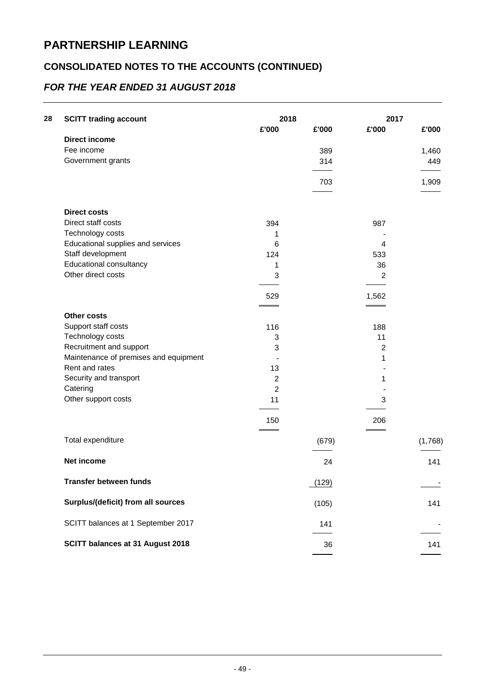# **CONSOLIDATED NOTES TO THE ACCOUNTS (CONTINUED)**

# *FOR THE YEAR ENDED 31 AUGUST 2018*

| 28 | <b>SCITT trading account</b>          | 2018             |       | 2017           |         |
|----|---------------------------------------|------------------|-------|----------------|---------|
|    |                                       | £'000            | £'000 | £'000          | £'000   |
|    | <b>Direct income</b>                  |                  |       |                |         |
|    | Fee income                            |                  | 389   |                | 1,460   |
|    | Government grants                     |                  | 314   |                | 449     |
|    |                                       |                  | 703   |                | 1,909   |
|    | <b>Direct costs</b>                   |                  |       |                |         |
|    | Direct staff costs                    | 394              |       | 987            |         |
|    | Technology costs                      | 1                |       |                |         |
|    | Educational supplies and services     | 6                |       | 4              |         |
|    | Staff development                     | 124              |       | 533            |         |
|    | <b>Educational consultancy</b>        | 1                |       | 36             |         |
|    | Other direct costs                    | 3                |       | $\overline{2}$ |         |
|    |                                       | 529              |       | 1,562          |         |
|    | <b>Other costs</b>                    |                  |       |                |         |
|    | Support staff costs                   | 116              |       | 188            |         |
|    | Technology costs                      | 3                |       | 11             |         |
|    | Recruitment and support               | 3                |       | $\overline{2}$ |         |
|    | Maintenance of premises and equipment |                  |       | 1              |         |
|    | Rent and rates                        | 13               |       |                |         |
|    | Security and transport                | $\boldsymbol{2}$ |       | 1              |         |
|    | Catering                              | $\overline{2}$   |       |                |         |
|    | Other support costs                   | 11               |       | 3              |         |
|    |                                       | 150              |       | 206            |         |
|    | Total expenditure                     |                  | (679) |                | (1,768) |
|    | Net income                            |                  | 24    |                | 141     |
|    | <b>Transfer between funds</b>         |                  | (129) |                |         |
|    | Surplus/(deficit) from all sources    |                  | (105) |                | 141     |
|    | SCITT balances at 1 September 2017    |                  | 141   |                |         |
|    | SCITT balances at 31 August 2018      |                  | 36    |                | 141     |